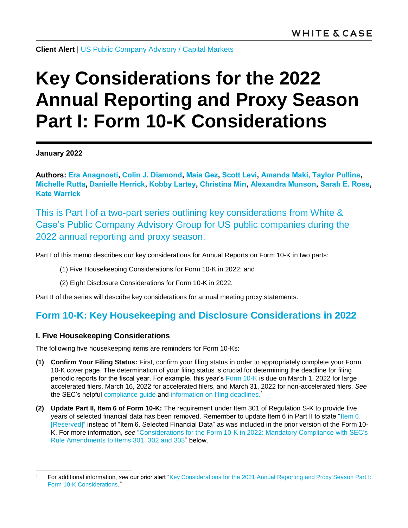**Client Alert** | [US Public Company Advisory](https://www.whitecase.com/law/practices/public-company-advisory-pca) / [Capital Markets](https://www.whitecase.com/law/practices/capital-markets)

# **Key Considerations for the 2022 Annual Reporting and Proxy Season Part I: Form 10-K Considerations**

**January 2022**

**Authors: [Era Anagnosti,](https://www.whitecase.com/people/era-anagnosti) [Colin J. Diamond,](https://www.whitecase.com/people/colin-diamond) [Maia Gez,](https://www.whitecase.com/people/maia-gez) [Scott Levi,](https://www.whitecase.com/people/scott-levi) [Amanda Maki,](mailto:amanda.maki@whitecase.com) [Taylor Pullins,](https://www.whitecase.com/people/taylor-pullins) [Michelle Rutta,](https://www.whitecase.com/people/michelle-rutta) [Danielle Herrick,](https://www.whitecase.com/people/danielle-herrick) [Kobby Lartey,](https://www.whitecase.com/people/kobby-lartey) [Christina Min,](https://www.whitecase.com/people/christina-min) [Alexandra Munson,](https://www.whitecase.com/people/alexandra-munson) [Sarah](https://www.whitecase.com/people/sarah-ross) E. Ross, [Kate Warrick](https://www.whitecase.com/people/kate-warrick)**

This is Part I of a two-part series outlining key considerations from White & Case's Public Company Advisory Group for US public companies during the 2022 annual reporting and proxy season.

Part I of this memo describes our key considerations for Annual Reports on Form 10-K in two parts:

- (1) Five Housekeeping Considerations for Form 10-K in 2022; and
- (2) Eight Disclosure Considerations for Form 10-K in 2022.

Part II of the series will describe key considerations for annual meeting proxy statements.

# **Form 10-K: Key Housekeeping and Disclosure Considerations in 2022**

# <span id="page-0-0"></span>**I. Five Housekeeping Considerations**

The following five housekeeping items are reminders for Form 10-Ks:

- **(1) Confirm Your Filing Status:** First, confirm your filing status in order to appropriately complete your Form 10-K cover page. The determination of your filing status is crucial for determining the deadline for filing periodic reports for the fiscal year. For example, this year's [Form 10-K](https://www.sec.gov/files/form10-k.pdf) is due on March 1, 2022 for large accelerated filers, March 16, 2022 for accelerated filers, and March 31, 2022 for non-accelerated filers. *See* the SEC's helpful [compliance guide](https://www.sec.gov/corpfin/secg-accelerated-filer-and-large-accelerated-filer-definitions) and [information on filing deadlines.](https://www.investor.gov/introduction-investing/investing-basics/glossary/form-10-k)<sup>1</sup>
- **(2) Update Part II, Item 6 of Form 10-K:** The requirement under Item 301 of Regulation S-K to provide five years of selected financial data has been removed. Remember to update Item 6 in Part II to state ["Item 6.](https://www.sec.gov/files/form10-k.pdf)  [\[Reserved\]"](https://www.sec.gov/files/form10-k.pdf) instead of "Item 6. Selected Financial Data" as was included in the prior version of the Form 10- K. For more information, *see* ["Considerations for the Form 10-K in 2022: Mandatory Compliance with SEC's](#page-4-0)  [Rule Amendments to Items 301, 302 and 303"](#page-4-0) below.

l <sup>1</sup> For additional information, *see* our prior alert ["Key Considerations for the 2021 Annual Reporting and Proxy Season Part I:](https://www.whitecase.com/publications/alert/key-considerations-2021-annual-reporting-and-proxy-season-part-i-form-10-k)  [Form 10-K Considerations](https://www.whitecase.com/publications/alert/key-considerations-2021-annual-reporting-and-proxy-season-part-i-form-10-k)."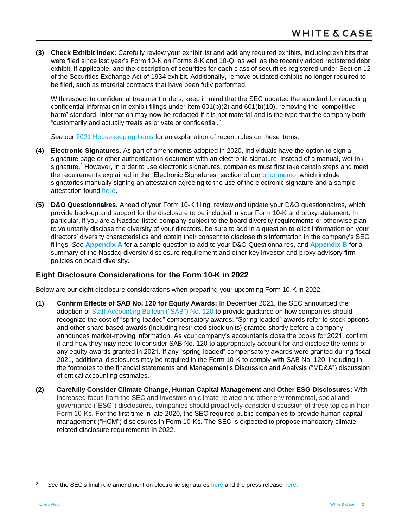**(3) Check Exhibit Index:** Carefully review your exhibit list and add any required exhibits, including exhibits that were filed since last year's Form 10-K on Forms 8-K and 10-Q, as well as the recently added registered debt exhibit, if applicable, and the description of securities for each class of securities registered under Section 12 of the Securities Exchange Act of 1934 exhibit. Additionally, remove outdated exhibits no longer required to be filed, such as material contracts that have been fully performed.

With respect to confidential treatment orders, keep in mind that the SEC updated the standard for redacting confidential information in exhibit filings under Item 601(b)(2) and 601(b)(10), removing the "competitive harm" standard. Information may now be redacted if it is not material and is the type that the company both "customarily and actually treats as private or confidential."

*See* our [2021 Housekeeping Items](https://www.whitecase.com/publications/alert/key-considerations-2021-annual-reporting-and-proxy-season-part-i-form-10-k) for an explanation of recent rules on these items.

- **(4) Electronic Signatures.** As part of amendments adopted in 2020, individuals have the option to sign a signature page or other authentication document with an electronic signature, instead of a manual, wet-ink signature.<sup>2</sup> However, in order to use electronic signatures, companies must first take certain steps and meet the requirements explained in the "Electronic Signatures" section of our [prior memo,](https://www.whitecase.com/publications/alert/key-considerations-2021-annual-reporting-and-proxy-season-part-i-form-10-k) which include signatories manually signing an attestation agreeing to the use of the electronic signature and a sample attestation found [here.](https://www.whitecase.com/sites/default/files/2021-01/key-considerations-for-the-2021-annual-reporting-appendix.pdf)
- **(5) D&O Questionnaires.** Ahead of your Form 10-K filing, review and update your D&O questionnaires, which provide back-up and support for the disclosure to be included in your Form 10-K and proxy statement. In particular, if you are a Nasdaq-listed company subject to the board diversity requirements or otherwise plan to voluntarily disclose the diversity of your directors, be sure to add in a question to elicit information on your directors' diversity characteristics and obtain their consent to disclose this information in the company's SEC filings. *See* **[Appendix A](#page-12-0)** for a sample question to add to your D&O Questionnaires, and **[Appendix B](#page-13-0)** for a summary of the Nasdaq diversity disclosure requirement and other key investor and proxy advisory firm policies on board diversity.

# **Eight Disclosure Considerations for the Form 10-K in 2022**

Below are our eight disclosure considerations when preparing your upcoming Form 10-K in 2022.

- **(1) Confirm Effects of SAB No. 120 for Equity Awards:** In December 2021, the SEC announced the adoption of [Staff Accounting Bulletin \("SAB"\) No. 120](https://www.sec.gov/oca/staff-accounting-bulletin-120) to provide guidance on how companies should recognize the cost of "spring-loaded" compensatory awards. "Spring-loaded" awards refer to stock options and other share based awards (including restricted stock units) granted shortly before a company announces market-moving information. As your company's accountants close the books for 2021, confirm if and how they may need to consider SAB No. 120 to appropriately account for and disclose the terms of any equity awards granted in 2021. If any "spring-loaded" compensatory awards were granted during fiscal 2021, additional disclosures may be required in the Form 10-K to comply with SAB No. 120, including in the footnotes to the financial statements and Management's Discussion and Analysis ("MD&A") discussion of critical accounting estimates.
- **(2) Carefully Consider Climate Change, Human Capital Management and Other ESG Disclosures:** With increased focus from the SEC and investors on climate-related and other environmental, social and governance ("ESG") disclosures, companies should proactively consider discussion of these topics in their Form 10-Ks. For the first time in late 2020, the SEC required public companies to provide human capital management ("HCM") disclosures in Form 10-Ks. The SEC is expected to propose mandatory climaterelated disclosure requirements in 2022.

<sup>2</sup> *See* the SEC's final rule amendment on electronic signatures [here](https://www.sec.gov/rules/final/2020/33-10889.pdf) and the press releas[e here.](https://www.sec.gov/news/press-release/2020-286)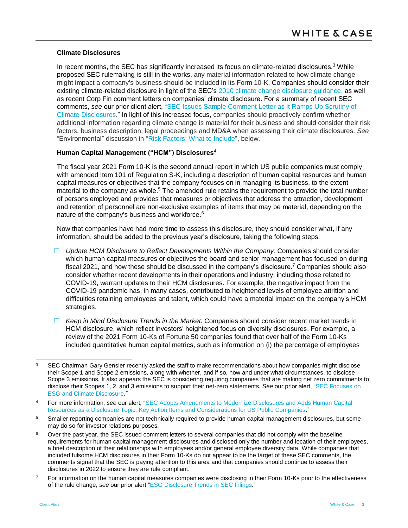#### <span id="page-2-0"></span>**Climate Disclosures**

In recent months, the SEC has significantly increased its focus on climate-related disclosures.<sup>3</sup> While proposed SEC rulemaking is still in the works, any material information related to how climate change might impact a company's business should be included in its Form 10-K. Companies should consider their existing climate-related disclosure in light of the SEC's [2010 climate change disclosure guidance,](https://www.sec.gov/rules/interp/2010/33-9106.pdf) as well as recent Corp Fin comment letters on companies' climate disclosure. For a summary of recent SEC comments, *see* our prior client alert, ["SEC Issues Sample Comment Letter as it Ramps Up Scrutiny of](https://www.whitecase.com/publications/alert/sec-issues-sample-comment-letter-it-ramps-scrutiny-climate-disclosures)  [Climate Disclosures.](https://www.whitecase.com/publications/alert/sec-issues-sample-comment-letter-it-ramps-scrutiny-climate-disclosures)" In light of this increased focus, companies should proactively confirm whether additional information regarding climate change is material for their business and should consider their risk factors, business description, legal proceedings and MD&A when assessing their climate disclosures. *See* "Environmental" discussion in ["Risk Factors: What to Include"](#page-8-0), below.

# **Human Capital Management ("HCM") Disclosures**<sup>4</sup>

The fiscal year 2021 Form 10-K is the second annual report in which US public companies must comply with amended Item 101 of Regulation S-K, including a description of human capital resources and human capital measures or objectives that the company focuses on in managing its business, to the extent material to the company as whole.<sup>5</sup> The amended rule retains the requirement to provide the total number of persons employed and provides that measures or objectives that address the attraction, development and retention of personnel are non-exclusive examples of items that may be material, depending on the nature of the company's business and workforce.<sup>6</sup>

Now that companies have had more time to assess this disclosure, they should consider what, if any information, should be added to the previous year's disclosure, taking the following steps:

- *Update HCM Disclosure to Reflect Developments Within the Company:* Companies should consider which human capital measures or objectives the board and senior management has focused on during fiscal 2021, and how these should be discussed in the company's disclosure.<sup>7</sup> Companies should also consider whether recent developments in their operations and industry, including those related to COVID-19, warrant updates to their HCM disclosures. For example, the negative impact from the COVID-19 pandemic has, in many cases, contributed to heightened levels of employee attrition and difficulties retaining employees and talent, which could have a material impact on the company's HCM strategies.
- *Keep in Mind Disclosure Trends in the Market*: Companies should consider recent market trends in HCM disclosure, which reflect investors' heightened focus on diversity disclosures. For example, a review of the 2021 Form 10-Ks of Fortune 50 companies found that over half of the Form 10-Ks included quantitative human capital metrics, such as information on (i) the percentage of employees

- 5 Smaller reporting companies are not technically required to provide human capital management disclosures, but some may do so for investor relations purposes.
- $6$  Over the past year, the SEC issued comment letters to several companies that did not comply with the baseline requirements for human capital management disclosures and disclosed only the number and location of their employees, a brief description of their relationships with employees and/or general employee diversity data. While companies that included fulsome HCM disclosures in their Form 10-Ks do not appear to be the target of these SEC comments, the comments signal that the SEC is paying attention to this area and that companies should continue to assess their disclosures in 2022 to ensure they are rule compliant.
- <sup>7</sup> For information on the human capital measures companies were disclosing in their Form 10-Ks prior to the effectiveness of the rule change, *see* our prior alert ["ESG Disclosure Trends in SEC Filings.](https://www.whitecase.com/publications/alert/esg-disclosure-trends-sec-filings)"

l 3 SEC Chairman Gary Gensler recently asked the staff to make recommendations about how companies might disclose their Scope 1 and Scope 2 emissions, along with whether, and if so, how and under what circumstances, to disclose Scope 3 emissions. It also appears the SEC is considering requiring companies that are making net zero commitments to disclose their Scopes 1, 2, and 3 emissions to support their net-zero statements. *See* our prior alert, ["SEC Focuses on](https://www.whitecase.com/publications/alert/sec-focuses-esg-and-climate-disclosure)  [ESG and Climate Disclosure](https://www.whitecase.com/publications/alert/sec-focuses-esg-and-climate-disclosure)."

<sup>4</sup> For more information, *see* our alert, ["SEC Adopts Amendments to Modernize Disclosures and Adds Human Capital](https://www.whitecase.com/publications/alert/sec-adopts-amendments-modernize-disclosures-and-adds-human-capital-resources)  [Resources as a Disclosure Topic: Key Action Items and Considerations for US Public Companies."](https://www.whitecase.com/publications/alert/sec-adopts-amendments-modernize-disclosures-and-adds-human-capital-resources)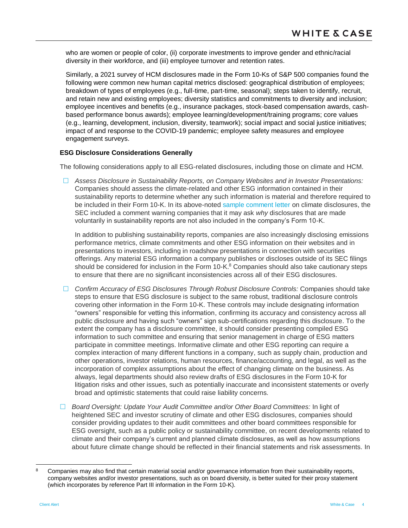who are women or people of color, (ii) corporate investments to improve gender and ethnic/racial diversity in their workforce, and (iii) employee turnover and retention rates.

Similarly, a 2021 survey of HCM disclosures made in the Form 10-Ks of S&P 500 companies found the following were common new human capital metrics disclosed: geographical distribution of employees; breakdown of types of employees (e.g., full-time, part-time, seasonal); steps taken to identify, recruit, and retain new and existing employees; diversity statistics and commitments to diversity and inclusion; employee incentives and benefits (e.g., insurance packages, stock-based compensation awards, cashbased performance bonus awards); employee learning/development/training programs; core values (e.g., learning, development, inclusion, diversity, teamwork); social impact and social justice initiatives; impact of and response to the COVID-19 pandemic; employee safety measures and employee engagement surveys.

#### **ESG Disclosure Considerations Generally**

The following considerations apply to all ESG-related disclosures, including those on climate and HCM.

 *Assess Disclosure in Sustainability Reports, on Company Websites and in Investor Presentations:* Companies should assess the climate-related and other ESG information contained in their sustainability reports to determine whether any such information is material and therefore required to be included in their Form 10-K. In its above-noted [sample comment letter](https://www.sec.gov/corpfin/sample-letter-climate-change-disclosures) on climate disclosures, the SEC included a comment warning companies that it may ask *why* disclosures that are made voluntarily in sustainability reports are not also included in the company's Form 10-K.

In addition to publishing sustainability reports, companies are also increasingly disclosing emissions performance metrics, climate commitments and other ESG information on their websites and in presentations to investors, including in roadshow presentations in connection with securities offerings. Any material ESG information a company publishes or discloses outside of its SEC filings should be considered for inclusion in the Form  $10\text{-K}^8$  Companies should also take cautionary steps to ensure that there are no significant inconsistencies across all of their ESG disclosures.

- *Confirm Accuracy of ESG Disclosures Through Robust Disclosure Controls:* Companies should take steps to ensure that ESG disclosure is subject to the same robust, traditional disclosure controls covering other information in the Form 10-K. These controls may include designating information "owners" responsible for vetting this information, confirming its accuracy and consistency across all public disclosure and having such "owners" sign sub-certifications regarding this disclosure. To the extent the company has a disclosure committee, it should consider presenting compiled ESG information to such committee and ensuring that senior management in charge of ESG matters participate in committee meetings. Informative climate and other ESG reporting can require a complex interaction of many different functions in a company, such as supply chain, production and other operations, investor relations, human resources, finance/accounting, and legal, as well as the incorporation of complex assumptions about the effect of changing climate on the business. As always, legal departments should also review drafts of ESG disclosures in the Form 10-K for litigation risks and other issues, such as potentially inaccurate and inconsistent statements or overly broad and optimistic statements that could raise liability concerns.
- *Board Oversight: Update Your Audit Committee and/or Other Board Committees:* In light of heightened SEC and investor scrutiny of climate and other ESG disclosures, companies should consider providing updates to their audit committees and other board committees responsible for ESG oversight, such as a public policy or sustainability committee, on recent developments related to climate and their company's current and planned climate disclosures, as well as how assumptions about future climate change should be reflected in their financial statements and risk assessments. In

<sup>8</sup> Companies may also find that certain material social and/or governance information from their sustainability reports, company websites and/or investor presentations, such as on board diversity, is better suited for their proxy statement (which incorporates by reference Part III information in the Form 10-K).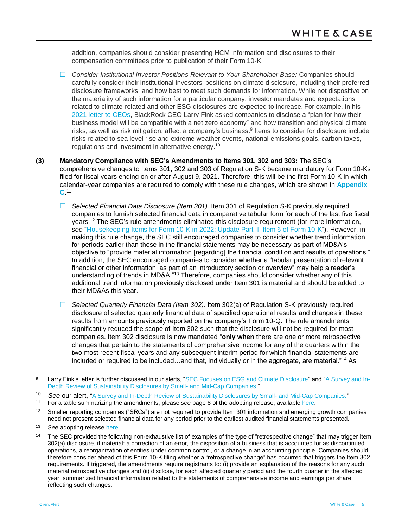addition, companies should consider presenting HCM information and disclosures to their compensation committees prior to publication of their Form 10-K.

- *Consider Institutional Investor Positions Relevant to Your Shareholder Base:* Companies should carefully consider their institutional investors' positions on climate disclosure, including their preferred disclosure frameworks, and how best to meet such demands for information. While not dispositive on the materiality of such information for a particular company, investor mandates and expectations related to climate-related and other ESG disclosures are expected to increase. For example, in his [2021 letter to CEOs,](https://www.blackrock.com/corporate/investor-relations/larry-fink-ceo-letter) BlackRock CEO Larry Fink asked companies to disclose a "plan for how their business model will be compatible with a net zero economy" and how transition and physical climate risks, as well as risk mitigation, affect a company's business.<sup>9</sup> Items to consider for disclosure include risks related to sea level rise and extreme weather events, national emissions goals, carbon taxes, regulations and investment in alternative energy.<sup>10</sup>
- <span id="page-4-0"></span>**(3) Mandatory Compliance with SEC's Amendments to Items 301, 302 and 303:** The SEC's comprehensive changes to Items 301, 302 and 303 of Regulation S-K became mandatory for Form 10-Ks filed for fiscal years ending on or after August 9, 2021. Therefore, this will be the first Form 10-K in which calendar-year companies are required to comply with these rule changes, which are shown in **[Appendix](#page-15-0)  [C](#page-15-0)**. 11
	- *Selected Financial Data Disclosure (Item 301).* Item 301 of Regulation S-K previously required companies to furnish selected financial data in comparative tabular form for each of the last five fiscal years.<sup>12</sup> The SEC's rule amendments eliminated this disclosure requirement (for more information, *see* ["Housekeeping Items for Form 10-K in 2022: Update Part II, Item 6 of Form 10-K"](#page-0-0)). However, in making this rule change, the SEC still encouraged companies to consider whether trend information for periods earlier than those in the financial statements may be necessary as part of MD&A's objective to "provide material information [regarding] the financial condition and results of operations." In addition, the SEC encouraged companies to consider whether a "tabular presentation of relevant financial or other information, as part of an introductory section or overview" may help a reader's understanding of trends in MD&A."<sup>13</sup> Therefore, companies should consider whether any of this additional trend information previously disclosed under Item 301 is material and should be added to their MD&As this year.
	- *Selected Quarterly Financial Data (Item 302).* Item 302(a) of Regulation S-K previously required disclosure of selected quarterly financial data of specified operational results and changes in these results from amounts previously reported on the company's Form 10-Q. The rule amendments significantly reduced the scope of Item 302 such that the disclosure will not be required for most companies. Item 302 disclosure is now mandated "**only when** there are one or more retrospective changes that pertain to the statements of comprehensive income for any of the quarters within the two most recent fiscal years and any subsequent interim period for which financial statements are included or required to be included…and that, individually or in the aggregate, are material."<sup>14</sup> As

<sup>13</sup> *See* adopting release [here.](https://www.sec.gov/rules/final/2020/33-10890.pdf)

l Larry Fink's letter is further discussed in our alerts, ["SEC Focuses on ESG and Climate Disclosure"](https://www.whitecase.com/publications/alert/sec-focuses-esg-and-climate-disclosure) and ["A Survey and In-](https://www.whitecase.com/publications/article/survey-and-depth-review-sustainability-disclosures-small-and-mid-cap-companies)[Depth Review of Sustainability Disclosures by Small-](https://www.whitecase.com/publications/article/survey-and-depth-review-sustainability-disclosures-small-and-mid-cap-companies) and Mid-Cap Companies."

<sup>10</sup> *See* our alert, ["A Survey and In-Depth Review of Sustainability Disclosures by Small-](https://www.whitecase.com/publications/article/survey-and-depth-review-sustainability-disclosures-small-and-mid-cap-companies) and Mid-Cap Companies."

<sup>11</sup> For a table summarizing the amendments, please *see* page 8 of the adopting release, available [here.](https://www.sec.gov/rules/final/2020/33-10890.pdf)

 $12$  Smaller reporting companies ("SRCs") are not required to provide Item 301 information and emerging growth companies need not present selected financial data for any period prior to the earliest audited financial statements presented.

<sup>&</sup>lt;sup>14</sup> The SEC provided the following non-exhaustive list of examples of the type of "retrospective change" that may trigger Item 302(a) disclosure, if material: a correction of an error, the disposition of a business that is accounted for as discontinued operations, a reorganization of entities under common control, or a change in an accounting principle. Companies should therefore consider ahead of this Form 10-K filing whether a "retrospective change" has occurred that triggers the Item 302 requirements. If triggered, the amendments require registrants to: (i) provide an explanation of the reasons for any such material retrospective changes and (ii) disclose, for each affected quarterly period and the fourth quarter in the affected year, summarized financial information related to the statements of comprehensive income and earnings per share reflecting such changes.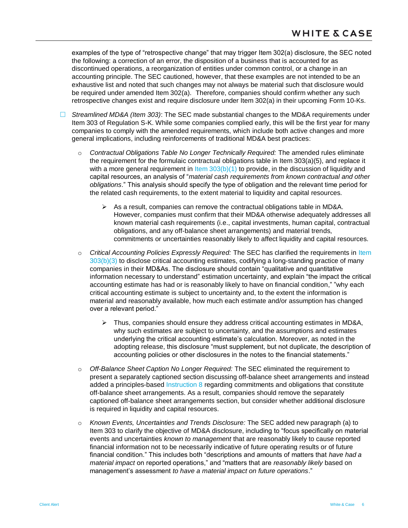examples of the type of "retrospective change" that may trigger Item 302(a) disclosure, the SEC noted the following: a correction of an error, the disposition of a business that is accounted for as discontinued operations, a reorganization of entities under common control, or a change in an accounting principle. The SEC cautioned, however, that these examples are not intended to be an exhaustive list and noted that such changes may not always be material such that disclosure would be required under amended Item 302(a). Therefore, companies should confirm whether any such retrospective changes exist and require disclosure under Item 302(a) in their upcoming Form 10-Ks.

- *Streamlined MD&A (Item 303)*: The SEC made substantial changes to the MD&A requirements under Item 303 of Regulation S-K. While some companies complied early, this will be the first year for many companies to comply with the amended requirements, which include both active changes and more general implications, including reinforcements of traditional MD&A best practices:
	- o *Contractual Obligations Table No Longer Technically Required:* The amended rules eliminate the requirement for the formulaic contractual obligations table in Item 303(a)(5), and replace it with a more general requirement in Item  $303(b)(1)$  to provide, in the discussion of liquidity and capital resources, an analysis of "*material cash requirements from known contractual and other obligations*." This analysis should specify the type of obligation and the relevant time period for the related cash requirements, to the extent material to liquidity and capital resources.
		- $\triangleright$  As a result, companies can remove the contractual obligations table in MD&A. However, companies must confirm that their MD&A otherwise adequately addresses all known material cash requirements (i.e., capital investments, human capital, contractual obligations, and any off-balance sheet arrangements) and material trends, commitments or uncertainties reasonably likely to affect liquidity and capital resources.
	- o *Critical Accounting Policies Expressly Required:* The SEC has clarified the requirements in [Item](#page-18-1)  [303\(b\)\(3\)](#page-18-1) to disclose critical accounting estimates, codifying a long-standing practice of many companies in their MD&As. The disclosure should contain "qualitative and quantitative information necessary to understand" estimation uncertainty, and explain "the impact the critical accounting estimate has had or is reasonably likely to have on financial condition," "why each critical accounting estimate is subject to uncertainty and, to the extent the information is material and reasonably available, how much each estimate and/or assumption has changed over a relevant period."
		- $\triangleright$  Thus, companies should ensure they address critical accounting estimates in MD&A, why such estimates are subject to uncertainty, and the assumptions and estimates underlying the critical accounting estimate's calculation. Moreover, as noted in the adopting release, this disclosure "must supplement, but not duplicate, the description of accounting policies or other disclosures in the notes to the financial statements."
	- o *Off-Balance Sheet Caption No Longer Required:* The SEC eliminated the requirement to present a separately captioned section discussing off-balance sheet arrangements and instead added a principles-based [Instruction 8](#page-22-0) regarding commitments and obligations that constitute off-balance sheet arrangements. As a result, companies should remove the separately captioned off-balance sheet arrangements section, but consider whether additional disclosure is required in liquidity and capital resources.
	- o *Known Events, Uncertainties and Trends Disclosure:* The SEC added new paragraph (a) to Item 303 to clarify the objective of MD&A disclosure, including to "focus specifically on material events and uncertainties *known to management* that are reasonably likely to cause reported financial information not to be necessarily indicative of future operating results or of future financial condition." This includes both "descriptions and amounts of matters that *have had a material impact* on reported operations," and "matters that are *reasonably likely* based on management's assessment *to have a material impact on future operations*."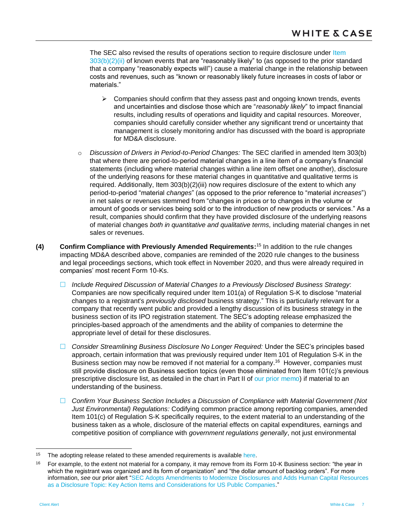The SEC also revised the results of operations section to require disclosure under Item  $303(b)(2)(ii)$  of known events that are "reasonably likely" to (as opposed to the prior standard that a company "reasonably expects will") cause a material change in the relationship between costs and revenues, such as "known or reasonably likely future increases in costs of labor or materials."

- $\triangleright$  Companies should confirm that they assess past and ongoing known trends, events and uncertainties and disclose those which are "*reasonably likely*" to impact financial results, including results of operations and liquidity and capital resources. Moreover, companies should carefully consider whether any significant trend or uncertainty that management is closely monitoring and/or has discussed with the board is appropriate for MD&A disclosure.
- o *Discussion of Drivers in Period-to-Period Changes:* The SEC clarified in amended Item 303(b) that where there are period-to-period material changes in a line item of a company's financial statements (including where material changes within a line item offset one another), disclosure of the underlying reasons for these material changes in quantitative and qualitative terms is required. Additionally, Item 303(b)(2)(iii) now requires disclosure of the extent to which any period-to-period "material *changes*" (as opposed to the prior reference to "material *increases*") in net sales or revenues stemmed from "changes in prices or to changes in the volume or amount of goods or services being sold or to the introduction of new products or services." As a result, companies should confirm that they have provided disclosure of the underlying reasons of material changes *both in quantitative and qualitative terms,* including material changes in net sales or revenues.
- **(4) Confirm Compliance with Previously Amended Requirements:** <sup>15</sup> In addition to the rule changes impacting MD&A described above, companies are reminded of the 2020 rule changes to the business and legal proceedings sections, which took effect in November 2020, and thus were already required in companies' most recent Form 10-Ks.
	- *Include Required Discussion of Material Changes to a Previously Disclosed Business Strategy*: Companies are now specifically required under Item 101(a) of Regulation S-K to disclose "material changes to a registrant's *previously disclosed* business strategy." This is particularly relevant for a company that recently went public and provided a lengthy discussion of its business strategy in the business section of its IPO registration statement. The SEC's adopting release emphasized the principles-based approach of the amendments and the ability of companies to determine the appropriate level of detail for these disclosures.
	- *Consider Streamlining Business Disclosure No Longer Required:* Under the SEC's principles based approach, certain information that was previously required under Item 101 of Regulation S-K in the Business section may now be removed if not material for a company.<sup>16</sup> However, companies must still provide disclosure on Business section topics (even those eliminated from Item 101(c)'s previous prescriptive disclosure list, as detailed in the chart in Part II of [our prior memo\)](https://www.whitecase.com/publications/alert/sec-adopts-amendments-modernize-disclosures-and-adds-human-capital-resources) if material to an understanding of the business.
	- *Confirm Your Business Section Includes a Discussion of Compliance with Material Government (Not Just Environmental) Regulations:* Codifying common practice among reporting companies, amended Item 101(c) of Regulation S-K specifically requires, to the extent material to an understanding of the business taken as a whole, disclosure of the material effects on capital expenditures, earnings and competitive position of compliance with *government regulations generally*, not just environmental

<sup>&</sup>lt;sup>15</sup> The adopting release related to these amended requirements is available [here.](https://www.sec.gov/rules/final/2020/33-10825.pdf)

<sup>16</sup> For example, to the extent not material for a company, it may remove from its Form 10-K Business section: "the year in which the registrant was organized and its form of organization" and "the dollar amount of backlog orders". For more information, *see* our prior alert ["SEC Adopts Amendments to Modernize Disclosures and Adds Human Capital Resources](https://www.whitecase.com/publications/alert/sec-adopts-amendments-modernize-disclosures-and-adds-human-capital-resources)  [as a Disclosure Topic: Key Action Items and Considerations for US Public Companies.](https://www.whitecase.com/publications/alert/sec-adopts-amendments-modernize-disclosures-and-adds-human-capital-resources)"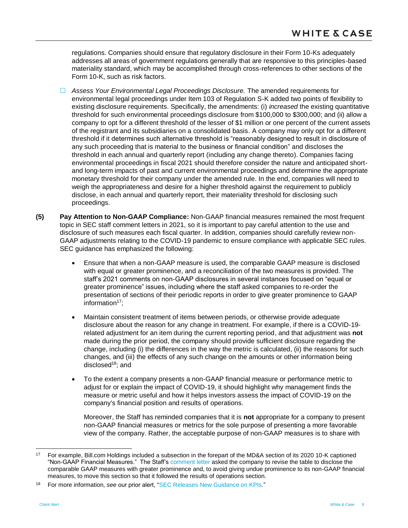regulations. Companies should ensure that regulatory disclosure in their Form 10-Ks adequately addresses all areas of government regulations generally that are responsive to this principles-based materiality standard, which may be accomplished through cross-references to other sections of the Form 10-K, such as risk factors.

- *Assess Your Environmental Legal Proceedings Disclosure.* The amended requirements for environmental legal proceedings under Item 103 of Regulation S-K added two points of flexibility to existing disclosure requirements. Specifically, the amendments: (i) *increased* the existing quantitative threshold for such environmental proceedings disclosure from \$100,000 to \$300,000; and (ii) allow a company to opt for a different threshold of the lesser of \$1 million or one percent of the current assets of the registrant and its subsidiaries on a consolidated basis. A company may only opt for a different threshold if it determines such alternative threshold is "reasonably designed to result in disclosure of any such proceeding that is material to the business or financial condition" and discloses the threshold in each annual and quarterly report (including any change thereto). Companies facing environmental proceedings in fiscal 2021 should therefore consider the nature and anticipated shortand long-term impacts of past and current environmental proceedings and determine the appropriate monetary threshold for their company under the amended rule. In the end, companies will need to weigh the appropriateness and desire for a higher threshold against the requirement to publicly disclose, in each annual and quarterly report, their materiality threshold for disclosing such proceedings.
- **(5) Pay Attention to Non-GAAP Compliance:** Non-GAAP financial measures remained the most frequent topic in SEC staff comment letters in 2021, so it is important to pay careful attention to the use and disclosure of such measures each fiscal quarter. In addition, companies should carefully review non-GAAP adjustments relating to the COVID-19 pandemic to ensure compliance with applicable SEC rules. SEC guidance has emphasized the following:
	- Ensure that when a non-GAAP measure is used, the comparable GAAP measure is disclosed with equal or greater prominence, and a reconciliation of the two measures is provided. The staff's 2021 comments on non-GAAP disclosures in several instances focused on "equal or greater prominence" issues, including where the staff asked companies to re-order the presentation of sections of their periodic reports in order to give greater prominence to GAAP information $17$ ;
	- Maintain consistent treatment of items between periods, or otherwise provide adequate disclosure about the reason for any change in treatment. For example, if there is a COVID-19 related adjustment for an item during the current reporting period, and that adjustment was **not** made during the prior period, the company should provide sufficient disclosure regarding the change, including (i) the differences in the way the metric is calculated, (ii) the reasons for such changes, and (iii) the effects of any such change on the amounts or other information being disclosed<sup>18</sup>; and
	- To the extent a company presents a non-GAAP financial measure or performance metric to adjust for or explain the impact of COVID-19, it should highlight why management finds the measure or metric useful and how it helps investors assess the impact of COVID-19 on the company's financial position and results of operations.

Moreover, the Staff has reminded companies that it is **not** appropriate for a company to present non-GAAP financial measures or metrics for the sole purpose of presenting a more favorable view of the company. Rather, the acceptable purpose of non-GAAP measures is to share with

<sup>17</sup> For example, Bill.com Holdings included a subsection in the forepart of the MD&A section of its 2020 10-K captioned "Non-GAAP Financial Measures." The Staff's [comment letter](https://www.sec.gov/Archives/edgar/data/0001786352/000000000021001176/filename1.pdf) asked the company to revise the table to disclose the comparable GAAP measures with greater prominence and, to avoid giving undue prominence to its non-GAAP financial measures, to move this section so that it followed the results of operations section.

<sup>18</sup> For more information, *see* our prior alert, ["SEC Releases New Guidance on KPIs.](https://www.whitecase.com/publications/alert/sec-releases-new-guidance-kpis)"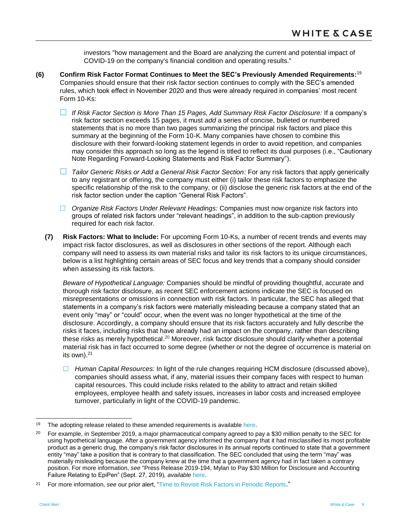investors "how management and the Board are analyzing the current and potential impact of COVID-19 on the company's financial condition and operating results."

- **(6) Confirm Risk Factor Format Continues to Meet the SEC's Previously Amended Requirements:** 19 Companies should ensure that their risk factor section continues to comply with the SEC's amended rules, which took effect in November 2020 and thus were already required in companies' most recent Form 10-Ks:
	- *If Risk Factor Section is More Than 15 Pages, Add Summary Risk Factor Disclosure:* If a company's risk factor section exceeds 15 pages, it must *add* a series of concise, bulleted or numbered statements that is no more than two pages summarizing the principal risk factors and place this summary at the beginning of the Form 10-K. Many companies have chosen to combine this disclosure with their forward-looking statement legends in order to avoid repetition, and companies may consider this approach so long as the legend is titled to reflect its dual purposes (i.e., "Cautionary Note Regarding Forward-Looking Statements and Risk Factor Summary").
	- *Tailor Generic Risks or Add a General Risk Factor Section:* For any risk factors that apply generically to any registrant or offering, the company must either (i) tailor these risk factors to emphasize the specific relationship of the risk to the company, or (ii) disclose the generic risk factors at the end of the risk factor section under the caption "General Risk Factors".
	- *Organize Risk Factors Under Relevant Headings:* Companies must now organize risk factors into groups of related risk factors under "relevant headings", in addition to the sub-caption previously required for each risk factor.
	- **(7) Risk Factors: What to Include:** For upcoming Form 10-Ks, a number of recent trends and events may impact risk factor disclosures, as well as disclosures in other sections of the report. Although each company will need to assess its own material risks and tailor its risk factors to its unique circumstances, below is a list highlighting certain areas of SEC focus and key trends that a company should consider when assessing its risk factors.

<span id="page-8-0"></span>*Beware of Hypothetical Language:* Companies should be mindful of providing thoughtful, accurate and thorough risk factor disclosure, as recent SEC enforcement actions indicate the SEC is focused on misrepresentations or omissions in connection with risk factors. In particular, the SEC has alleged that statements in a company's risk factors were materially misleading because a company stated that an event only "may" or "could" occur, when the event was no longer hypothetical at the time of the disclosure. Accordingly, a company should ensure that its risk factors accurately and fully describe the risks it faces, including risks that have already had an impact on the company, rather than describing these risks as merely hypothetical.<sup>20</sup> Moreover, risk factor disclosure should clarify whether a potential material risk has in fact occurred to some degree (whether or not the degree of occurrence is material on its own).<sup>21</sup>

 *Human Capital Resources:* In light of the rule changes requiring HCM disclosure (discussed above), companies should assess what, if any, material issues their company faces with respect to human capital resources. This could include risks related to the ability to attract and retain skilled employees, employee health and safety issues, increases in labor costs and increased employee turnover, particularly in light of the COVID-19 pandemic.

<sup>&</sup>lt;sup>19</sup> The adopting release related to these amended requirements is available [here.](https://www.sec.gov/rules/final/2020/33-10825.pdf)

<sup>&</sup>lt;sup>20</sup> For example, in September 2019, a major pharmaceutical company agreed to pay a \$30 million penalty to the SEC for using hypothetical language. After a government agency informed the company that it had misclassified its most profitable product as a generic drug, the company's risk factor disclosures in its annual reports continued to state that a government entity "may" take a position that is contrary to that classification. The SEC concluded that using the term "may" was materially misleading because the company knew at the time that a government agency had in fact taken a contrary position. For more information, *see* "Press Release 2019-194, Mylan to Pay \$30 Million for Disclosure and Accounting Failure Relating to EpiPen" (Sept. 27, 2019), *available* [here.](https://www.sec.gov/news/press-release/2019-194)

<sup>21</sup> For more information, *see* our prior alert, ["Time to Revisit Risk Factors in Periodic Reports](https://www.whitecase.com/publications/alert/time-revisit-risk-factors-periodic-reports)."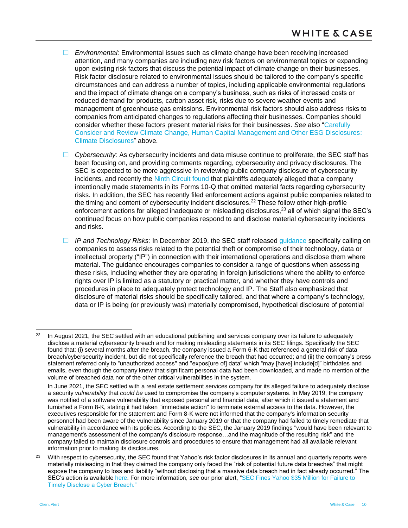- *Environmental:* Environmental issues such as climate change have been receiving increased attention, and many companies are including new risk factors on environmental topics or expanding upon existing risk factors that discuss the potential impact of climate change on their businesses. Risk factor disclosure related to environmental issues should be tailored to the company's specific circumstances and can address a number of topics, including applicable environmental regulations and the impact of climate change on a company's business, such as risks of increased costs or reduced demand for products, carbon asset risk, risks due to severe weather events and management of greenhouse gas emissions. Environmental risk factors should also address risks to companies from anticipated changes to regulations affecting their businesses. Companies should consider whether these factors present material risks for their businesses. *See* also "[Carefully](#page-2-0)  Consider and Review [Climate Change, Human Capital Management and Other ESG Disclosures:](#page-2-0)  [Climate Disclosures"](#page-2-0) above.
- *Cybersecurity:* As cybersecurity incidents and data misuse continue to proliferate, the SEC staff has been focusing on, and providing comments regarding, cybersecurity and privacy disclosures. The SEC is expected to be more aggressive in reviewing public company disclosure of cybersecurity incidents, and recently the [Ninth Circuit found](https://www.whitecase.com/publications/alert/time-revisit-risk-factors-periodic-reports) that plaintiffs adequately alleged that a company intentionally made statements in its Forms 10-Q that omitted material facts regarding cybersecurity risks. In addition, the SEC has recently filed enforcement actions against public companies related to the timing and content of cybersecurity incident disclosures.<sup>22</sup> These follow other high-profile enforcement actions for alleged inadequate or misleading disclosures,<sup>23</sup> all of which signal the SEC's continued focus on how public companies respond to and disclose material cybersecurity incidents and risks.
- *IP and Technology Risks:* In December 2019, the SEC staff released [guidance](https://www.sec.gov/corpfin/risks-technology-intellectual-property-international-business-operations) specifically calling on companies to assess risks related to the potential theft or compromise of their technology, data or intellectual property ("IP") in connection with their international operations and disclose them where material. The guidance encourages companies to consider a range of questions when assessing these risks, including whether they are operating in foreign jurisdictions where the ability to enforce rights over IP is limited as a statutory or practical matter, and whether they have controls and procedures in place to adequately protect technology and IP. The Staff also emphasized that disclosure of material risks should be specifically tailored, and that where a company's technology, data or IP is being (or previously was) materially compromised, hypothetical disclosure of potential

 $22$  In August 2021, the SEC settled with an educational publishing and services company over its failure to adequately disclose a material cybersecurity breach and for making misleading statements in its SEC filings. Specifically the SEC found that: (i) several months after the breach, the company issued a Form 6-K that referenced a general risk of data breach/cybersecurity incident, but did not specifically reference the breach that had occurred; and (ii) the company's press statement referred only to "unauthorized access" and "expos[ure of] data" which "may [have] include[d]" birthdates and emails, even though the company knew that significant personal data had been downloaded, and made no mention of the volume of breached data nor of the other critical vulnerabilities in the system.

In June 2021, the SEC settled with a real estate settlement services company for its alleged failure to adequately disclose a security *vulnerability* that *could be* used to compromise the company's computer systems. In May 2019, the company was notified of a software vulnerability that exposed personal and financial data, after which it issued a statement and furnished a Form 8-K, stating it had taken "immediate action" to terminate external access to the data. However, the executives responsible for the statement and Form 8-K were not informed that the company's information security personnel had been aware of the vulnerability since January 2019 or that the company had failed to timely remediate that vulnerability in accordance with its policies. According to the SEC, the January 2019 findings "would have been relevant to management's assessment of the company's disclosure response…and the magnitude of the resulting risk" and the company failed to maintain disclosure controls and procedures to ensure that management had all available relevant information prior to making its disclosures.

<sup>23</sup> With respect to cybersecurity, the SEC found that Yahoo's risk factor disclosures in its annual and quarterly reports were materially misleading in that they claimed the company only faced the "risk of potential future data breaches" that might expose the company to loss and liability "without disclosing that a massive data breach had in fact already occurred." The SEC's action is availabl[e here.](https://www.sec.gov/litigation/admin/2018/33-10485.pdf) For more information, *see* our prior alert, ["SEC Fines Yahoo \\$35 Million for Failure to](https://www.whitecase.com/publications/alert/sec-fines-yahoo-35-million-failure-timely-disclose-cyber-breach)  [Timely Disclose a Cyber Breach."](https://www.whitecase.com/publications/alert/sec-fines-yahoo-35-million-failure-timely-disclose-cyber-breach)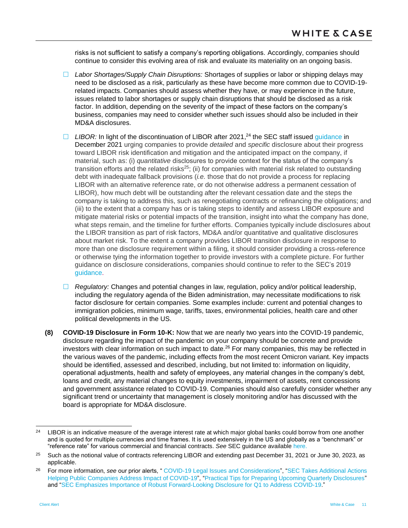risks is not sufficient to satisfy a company's reporting obligations. Accordingly, companies should continue to consider this evolving area of risk and evaluate its materiality on an ongoing basis.

- *Labor Shortages/Supply Chain Disruptions:* Shortages of supplies or labor or shipping delays may need to be disclosed as a risk, particularly as these have become more common due to COVID-19 related impacts. Companies should assess whether they have, or may experience in the future, issues related to labor shortages or supply chain disruptions that should be disclosed as a risk factor. In addition, depending on the severity of the impact of these factors on the company's business, companies may need to consider whether such issues should also be included in their MD&A disclosures.
- □ LIBOR: In light of the discontinuation of LIBOR after 2021,<sup>24</sup> the SEC staff issue[d guidance](https://www.sec.gov/news/statement/staff-statement-libor-transition-20211207?utm_medium=email&utm_source=govdelivery) in December 2021 urging companies to provide *detailed* and *specific* disclosure about their progress toward LIBOR risk identification and mitigation and the anticipated impact on the company, if material, such as: (i) *quantitative* disclosures to provide context for the status of the company's transition efforts and the related risks<sup>25</sup>; (ii) for companies with material risk related to outstanding debt with inadequate fallback provisions (*i.e.* those that do not provide a process for replacing LIBOR with an alternative reference rate, or do not otherwise address a permanent cessation of LIBOR), how much debt will be outstanding after the relevant cessation date and the steps the company is taking to address this, such as renegotiating contracts or refinancing the obligations; and (iii) to the extent that a company has or is taking steps to identify and assess LIBOR exposure and mitigate material risks or potential impacts of the transition, insight into what the company has done, what steps remain, and the timeline for further efforts. Companies typically include disclosures about the LIBOR transition as part of risk factors, MD&A and/or quantitative and qualitative disclosures about market risk. To the extent a company provides LIBOR transition disclosure in response to more than one disclosure requirement within a filing, it should consider providing a cross-reference or otherwise tying the information together to provide investors with a complete picture. For further guidance on disclosure considerations, companies should continue to refer to the SEC's 2019 quidance.
- *Regulatory:* Changes and potential changes in law, regulation, policy and/or political leadership, including the regulatory agenda of the Biden administration, may necessitate modifications to risk factor disclosure for certain companies. Some examples include: current and potential changes to immigration policies, minimum wage, tariffs, taxes, environmental policies, health care and other political developments in the US.
- **(8) COVID-19 Disclosure in Form 10-K:** Now that we are nearly two years into the COVID-19 pandemic, disclosure regarding the impact of the pandemic on your company should be concrete and provide investors with clear information on such impact to date.<sup>26</sup> For many companies, this may be reflected in the various waves of the pandemic, including effects from the most recent Omicron variant. Key impacts should be identified, assessed and described, including, but not limited to: information on liquidity, operational adjustments, health and safety of employees, any material changes in the company's debt, loans and credit, any material changes to equity investments, impairment of assets, rent concessions and government assistance related to COVID-19. Companies should also carefully consider whether any significant trend or uncertainty that management is closely monitoring and/or has discussed with the board is appropriate for MD&A disclosure.

<sup>&</sup>lt;sup>24</sup> LIBOR is an indicative measure of the average interest rate at which major global banks could borrow from one another and is quoted for multiple currencies and time frames. It is used extensively in the US and globally as a "benchmark" or "reference rate" for various commercial and financial contracts. *See* SEC guidance available [here.](https://www.sec.gov/news/public-statement/libor-transition)

 $25$  Such as the notional value of contracts referencing LIBOR and extending past December 31, 2021 or June 30, 2023, as applicable.

<sup>26</sup> For more information, *see* our prior alerts, " [COVID-19 Legal Issues and Considerations"](https://www.whitecase.com/publications/alert/covid-19-legal-issues-and-considerations), ["SEC Takes Additional Actions](https://www.whitecase.com/publications/alert/sec-takes-additional-actions-helping-public-companies-address-impact-covid-19)  [Helping Public Companies Address Impact of COVID-19"](https://www.whitecase.com/publications/alert/sec-takes-additional-actions-helping-public-companies-address-impact-covid-19), ["Practical Tips for Preparing Upcoming Quarterly Disclosures"](https://www.whitecase.com/publications/alert/practical-tips-prepare-upcoming-quarterly-disclosures) and ["SEC Emphasizes Importance of Robust Forward-Looking Disclosure for Q1 to Address COVID-19."](https://www.whitecase.com/publications/alert/sec-emphasizes-importance-robust-forward-looking-disclosure-q1-address-covid-19)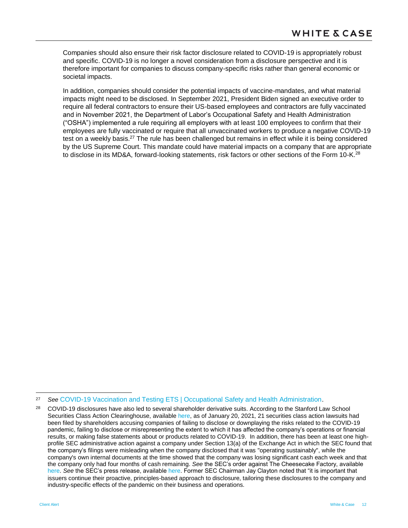Companies should also ensure their risk factor disclosure related to COVID-19 is appropriately robust and specific. COVID-19 is no longer a novel consideration from a disclosure perspective and it is therefore important for companies to discuss company-specific risks rather than general economic or societal impacts.

In addition, companies should consider the potential impacts of vaccine-mandates, and what material impacts might need to be disclosed. In September 2021, President Biden signed an executive order to require all federal contractors to ensure their US-based employees and contractors are fully vaccinated and in November 2021, the Department of Labor's Occupational Safety and Health Administration ("OSHA") implemented a rule requiring all employers with at least 100 employees to confirm that their employees are fully vaccinated or require that all unvaccinated workers to produce a negative COVID-19 test on a weekly basis.<sup>27</sup> The rule has been challenged but remains in effect while it is being considered by the US Supreme Court. This mandate could have material impacts on a company that are appropriate to disclose in its MD&A, forward-looking statements, risk factors or other sections of the Form 10-K.<sup>28</sup>

l <sup>27</sup> *See* [COVID-19 Vaccination and Testing ETS | Occupational Safety and Health Administration.](https://www.osha.gov/coronavirus/ets2)

<sup>&</sup>lt;sup>28</sup> COVID-19 disclosures have also led to several shareholder derivative suits. According to the Stanford Law School Securities Class Action Clearinghouse, available [here,](http://securities.stanford.edu/current-topics.html) as of January 20, 2021, 21 securities class action lawsuits had been filed by shareholders accusing companies of failing to disclose or downplaying the risks related to the COVID-19 pandemic, failing to disclose or misrepresenting the extent to which it has affected the company's operations or financial results, or making false statements about or products related to COVID-19. In addition, there has been at least one highprofile SEC administrative action against a company under Section 13(a) of the Exchange Act in which the SEC found that the company's filings were misleading when the company disclosed that it was "operating sustainably", while the company's own internal documents at the time showed that the company was losing significant cash each week and that the company only had four months of cash remaining. *See* the SEC's order against The Cheesecake Factory, available [here.](https://www.sec.gov/litigation/admin/2020/34-90565.pdf) *See* the SEC's press release, available [here.](https://www.sec.gov/news/press-release/2020-306) Former SEC Chairman Jay Clayton noted that "it is important that issuers continue their proactive, principles-based approach to disclosure, tailoring these disclosures to the company and industry-specific effects of the pandemic on their business and operations.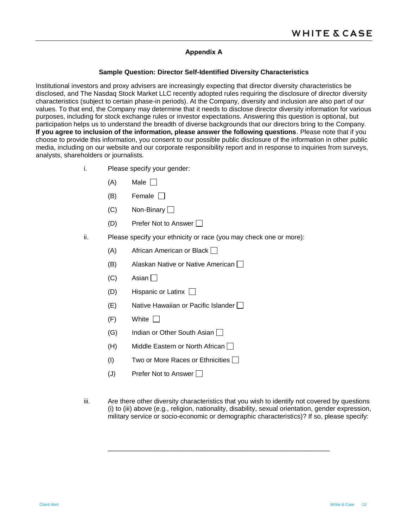# **Appendix A**

#### **Sample Question: Director Self-Identified Diversity Characteristics**

<span id="page-12-0"></span>Institutional investors and proxy advisers are increasingly expecting that director diversity characteristics be disclosed, and The Nasdaq Stock Market LLC recently adopted rules requiring the disclosure of director diversity characteristics (subject to certain phase-in periods). At the Company, diversity and inclusion are also part of our values. To that end, the Company may determine that it needs to disclose director diversity information for various purposes, including for stock exchange rules or investor expectations. Answering this question is optional, but participation helps us to understand the breadth of diverse backgrounds that our directors bring to the Company. **If you agree to inclusion of the information, please answer the following questions**. Please note that if you choose to provide this information, you consent to our possible public disclosure of the information in other public media, including on our website and our corporate responsibility report and in response to inquiries from surveys, analysts, shareholders or journalists.

- i. Please specify your gender:
	- $(A)$  Male  $\Box$
	- $(B)$  Female  $\Box$
	- $(C)$  Non-Binary  $\Box$
	- (D) Prefer Not to Answer  $\Box$
- ii. Please specify your ethnicity or race (you may check one or more):
	- $(A)$  African American or Black  $\Box$
	- (B) Alaskan Native or Native American  $\Box$
	- $(C)$  Asian  $\Box$
	- $(D)$  Hispanic or Latinx  $\Box$
	- $(E)$  Native Hawaiian or Pacific Islander  $\Box$
	- $(F)$  White  $\Box$
	- $(G)$  Indian or Other South Asian
	- $(H)$  Middle Eastern or North African  $\Box$
	- (I) Two or More Races or Ethnicities
	- (J) Prefer Not to Answer  $\Box$
- iii. Are there other diversity characteristics that you wish to identify not covered by questions (i) to (iii) above (e.g., religion, nationality, disability, sexual orientation, gender expression, military service or socio-economic or demographic characteristics)? If so, please specify:

\_\_\_\_\_\_\_\_\_\_\_\_\_\_\_\_\_\_\_\_\_\_\_\_\_\_\_\_\_\_\_\_\_\_\_\_\_\_\_\_\_\_\_\_\_\_\_\_\_\_\_\_\_\_\_\_\_\_\_\_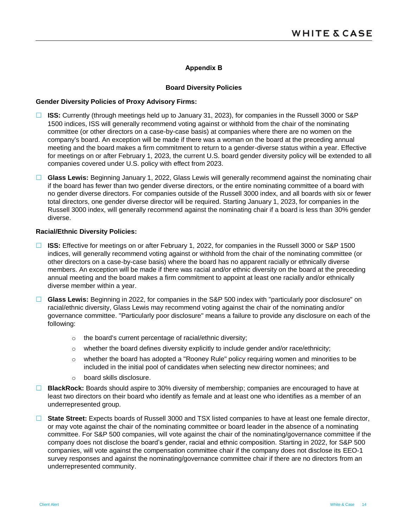#### **Appendix B**

#### **Board Diversity Policies**

#### <span id="page-13-0"></span>**Gender Diversity Policies of Proxy Advisory Firms:**

- **ISS:** Currently (through meetings held up to January 31, 2023), for companies in the Russell 3000 or S&P 1500 indices, ISS will generally recommend voting against or withhold from the chair of the nominating committee (or other directors on a case-by-case basis) at companies where there are no women on the company's board. An exception will be made if there was a woman on the board at the preceding annual meeting and the board makes a firm commitment to return to a gender-diverse status within a year. Effective for meetings on or after February 1, 2023, the current U.S. board gender diversity policy will be extended to all companies covered under U.S. policy with effect from 2023.
- □ Glass Lewis: Beginning January 1, 2022, Glass Lewis will generally recommend against the nominating chair if the board has fewer than two gender diverse directors, or the entire nominating committee of a board with no gender diverse directors. For companies outside of the Russell 3000 index, and all boards with six or fewer total directors, one gender diverse director will be required. Starting January 1, 2023, for companies in the Russell 3000 index, will generally recommend against the nominating chair if a board is less than 30% gender diverse.

# **Racial/Ethnic Diversity Policies:**

- **ISS:** Effective for meetings on or after February 1, 2022, for companies in the Russell 3000 or S&P 1500 indices, will generally recommend voting against or withhold from the chair of the nominating committee (or other directors on a case-by-case basis) where the board has no apparent racially or ethnically diverse members. An exception will be made if there was racial and/or ethnic diversity on the board at the preceding annual meeting and the board makes a firm commitment to appoint at least one racially and/or ethnically diverse member within a year.
- **Glass Lewis:** Beginning in 2022, for companies in the S&P 500 index with "particularly poor disclosure" on racial/ethnic diversity, Glass Lewis may recommend voting against the chair of the nominating and/or governance committee. "Particularly poor disclosure" means a failure to provide any disclosure on each of the following:
	- o the board's current percentage of racial/ethnic diversity;
	- $\circ$  whether the board defines diversity explicitly to include gender and/or race/ethnicity;
	- o whether the board has adopted a "Rooney Rule" policy requiring women and minorities to be included in the initial pool of candidates when selecting new director nominees; and
	- o board skills disclosure.
- **BlackRock:** Boards should aspire to 30% diversity of membership; companies are encouraged to have at least two directors on their board who identify as female and at least one who identifies as a member of an underrepresented group.
- **State Street:** Expects boards of Russell 3000 and TSX listed companies to have at least one female director, or may vote against the chair of the nominating committee or board leader in the absence of a nominating committee. For S&P 500 companies, will vote against the chair of the nominating/governance committee if the company does not disclose the board's gender, racial and ethnic composition. Starting in 2022, for S&P 500 companies, will vote against the compensation committee chair if the company does not disclose its EEO-1 survey responses and against the nominating/governance committee chair if there are no directors from an underrepresented community.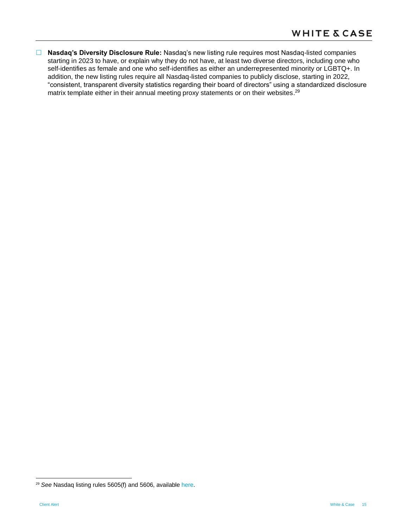**Nasdaq's Diversity Disclosure Rule:** Nasdaq's new listing rule requires most Nasdaq-listed companies starting in 2023 to have, or explain why they do not have, at least two diverse directors, including one who self-identifies as female and one who self-identifies as either an underrepresented minority or LGBTQ+. In addition, the new listing rules require all Nasdaq-listed companies to publicly disclose, starting in 2022, "consistent, transparent diversity statistics regarding their board of directors" using a standardized disclosure matrix template either in their annual meeting proxy statements or on their websites.<sup>29</sup>

<sup>29</sup> *See* Nasdaq listing rules 5605(f) and 5606, available [here.](https://listingcenter.nasdaq.com/rulebook/nasdaq/rules/nasdaq-5600-series)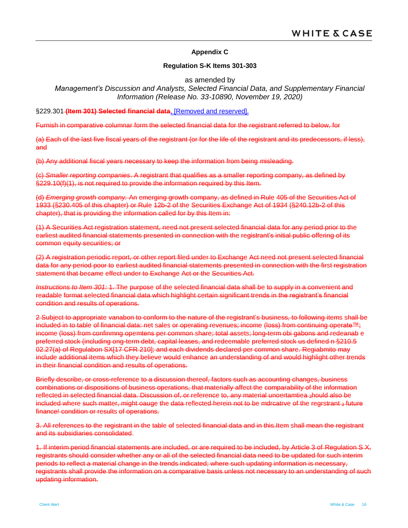# **Appendix C**

#### **Regulation S-K Items 301-303**

as amended by

# <span id="page-15-0"></span>*Management's Discussion and Analysts, Selected Financial Data, and Supplementary Financial Information (Release No. 33-10890, November 19, 2020)*

§229.301 **(Item 301) Selected financial data**, [Removed and reserved].

Furnish in comparative columnar form the selected financial data for the registrant referred to below, for

(a) Each of the last five fiscal years of the registrant (or for the life of the registrant and its predecessors, if less), and

(b) Any additional fiscal years necessary to keep the information from being misleading.

(c) *Smaller reporting companies*. A registrant that qualifies as a smaller reporting company, as defined by §229.10(f)(1), is not required to provide the information required by this Item.

(d) *Emerging growth company.* An emerging growth company, as defined in Rule 405 of the Securities Act of 1933 (§230.405 of this chapter) or Rule 12b-2 of the Securities Exchange Act of 1934 (§240.12b-2 of this chapter), that is providing the information called for by this Item in:

(1) A Securities Act registration statement, need not present selected financial data for any period prior to the earliest audited financial statements presented in connection with the registrant's initial public offering of its common equity securities; or

(2) A registration periodic report, or other report filed under to Exchange Act need not present selected financial data for any period poor to earliest audited financial statements presented in connection with the first registration statement that became effect under to Exchange Act or the Securities Act.

*Instructions to Item 301:* 1. The purpose of the selected financial data shall be to supply in a convenient and readable format selected financial data which highlight certain significant trends in the registrant's financial condition and results of operations.

2 Subject to appropriate vanabon to conform to the nature of the registrant's business, to following items shall be included in to table of financial data: net sales or operating revenues; income (loss) from continuing operate™; income (loss) from confinmng opemtens per common share; total assets; long-term obi gabons and redeanab e preferred stock (including ong-term debt, capital leases, and redeemable preferred stock us defined n §210.5 02.27(a) of Regulabon SXI17 CFR 210]; and each dividends declared per common share. Regiabmito may include additional items which they believe would enhance an understanding of and would highlight other trends in their financial condition and results of operations.

Briefly describe, or cross-reference to a discussion thereof, factors such as accounting changes, business combinations or dispositions of business operations, that materially affect the comparability of the information reflected in selected financial data. Discussion of, or reference to, any material unoertamtiea 3hould also be included where such matter, might oauge the data-reflected herein not to be mdreatrve of the regrstrant 3 future finance! condition or results of operations.

3. All references to the registrant in the table of selected financial data and in this.Item shall mean the registrant and its subsidiaries consolidated.

1. If interim period financial statements are included, or are required to be included, by Article 3 of Regulation S X, registrants should consider whether any or all of the selected financial data need to be updated for such interim periods to reflect a material change in the trends indicated; where such updating information is necessary, registrants shall provide the information on a comparative basis unless not necessary to an understanding of such updating information.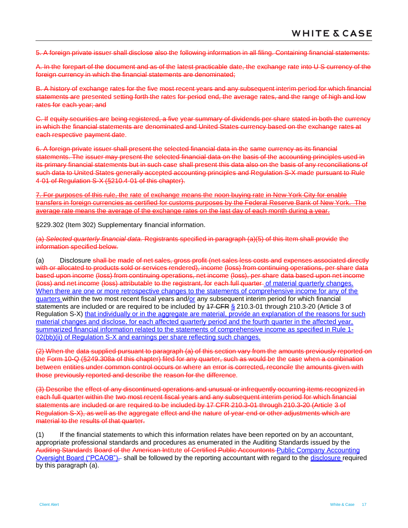5. A foreign private issuer shall disclose also the following information in all filing. Containing financial statements:

A. In the forepart of the document and as of the latest practicable date, the exchange rate into U S currency of the foreign currency in which the financial statements are denominated:

B. A history of exchange rates for the five most recent years and any subsequent interim period for which financial statements are presented setting forth the rates for period end, the average rates, and the range of high and low rates for each year; and

C. If equity securities are being registered, a five year summary of dividends per share stated in both the currency in which the financial statements are denominated and United States currency based on the exchange rates at each respective payment date.

6. A foreign private issuer shall present the selected financial data in the same currency as its financial statements. The issuer may present the selected financial data on the basis of the accounting principles used in its primary financial statements but in such case shall present this data also on the basis of any reconciliations of such data to United States generally accepted accounting principles and Regulation S-X made pursuant to Rule 4-01 of Regulation S-X (§210.4-01 of this chapter).

7. For purposes of this rule, the rate of exchange means the noon buying rate in New York City for enable transfers in foreign currencies as certified for customs purposes by the Federal Reserve Bank of New York. The average rate means the average of the exchange rates on the last day of each month during a year.

§229.302 (Item 302) Supplementary financial information.

(a) *Selected quarterly financial data.* Registrants specified in paragraph (a)(5) of this Item shall provide the information specified below.

<span id="page-16-0"></span>(a) Disclosure shall be made of net sales, gross profit (net sales less costs and expenses associated directly with or allocated to products sold or services rendered), income (loss) from continuing operations, per share data based upon income (loss) from continuing operations, net income (loss), per share data based upon net income (loss) and net income (loss) attributable to the registrant, for each full quarter of material quarterly changes. When there are one or more retrospective changes to the statements of comprehensive income for any of the quarters within the two most recent fiscal years and/or any subsequent interim period for which financial statements are included or are required to be included by 47 CFR § 210.3-01 through 210.3-20 (Article 3 of Regulation S-X) that individually or in the aggregate are material, provide an explanation of the reasons for such material changes and disclose, for each affected quarterly period and the fourth quarter in the affected year, summarized financial information related to the statements of comprehensive income as specified in Rule 1-02(bb)(ii) of Regulation S-X and earnings per share reflecting such changes.

(2) When the data supplied pursuant to paragraph (a) of this section vary from the amounts previously reported on the Form 10-Q (§249.308a of this chapter) filed for any quarter, such as would be the case when a combination between entities under common control occurs or where an error is corrected, reconcile the amounts given with those previously reported and describe the reason for the difference.

(3) Describe the effect of any discontinued operations and unusual or infrequently occurring items recognized in each full quarter within the two most recent fiscal years and any subsequent interim period for which financial statements are included or are required to be included by 17 CFR 210.3-01 through 210.3-20 (Article 3 of Regulation S-X), as well as the aggregate effect and the nature of year-end or other adjustments which are material to the results of that quarter.

(1) If the financial statements to which this information relates have been reported on by an accountant, appropriate professional standards and procedures as enumerated in the Auditing Standards issued by the Auditing Standards Board of the American Intitute of Certified Public Accountonts Public Company Accounting Oversight Board ("PCAOB"), shall be followed by the reporting accountant with regard to the disclosure required by this paragraph [\(a\).](#page-16-0)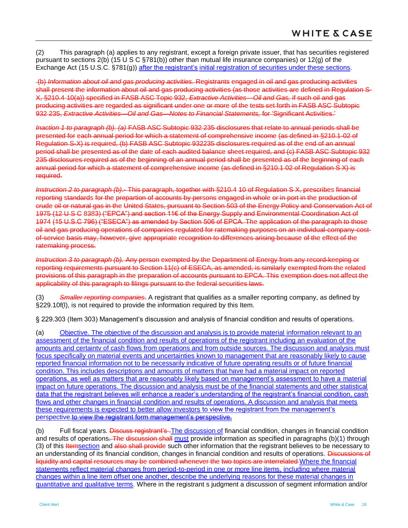(2) This paragraph [\(a\)](#page-16-0) applies to any registrant, except a foreign private issuer, that has securities registered pursuant to sections 2(b) (15 U S C §781(b)) other than mutual life insurance companies) or 12(g) of the Exchange Act (15 U.S.C. §781(g)) after the registrant's initial registration of securities under these sections.

(b) *Information about oil and gas producing activities.* Registrants engaged in oil and gas producing activities shall present the information about oil and gas producing activities (as those activities are defined in Regulation S-X, §210.4-10(a)) specified in FASB ASC Topic 932, *Extractive Activities—Oil and Gas,* if such oil and gas producing activities are regarded as significant under one or more of the tests set forth in FASB ASC Subtopic 932 235, *Extractive Activities—Oil and Gas—Notes to Financial Statements,* for 'Significant Activities.'

*Inaction 1 to paragraph (b). (a)* FASB ASC Subtopic 932 235 disclosures that relate to annual periods shall be presented for each annual period for which a statement of comprehensive income (as defined in §210.1-02 of Regulation S-X) is required, (b) FASB ASC Subtopic 932235 disclosures required as of the end of an annual period shall be presented as of the date of each audited balance sheet required, and (c) FASB ASC Subtopic 932 235 disclosures required as of the beginning of an annual period shall be presented as of the beginning of each annual period for which a statement of comprehensive income (as defined in §210.1 02 of Regulation S X) is required.

*Instruction 2 to paragraph (b)*.- This paragraph, together with §210.4 10 of Regulation S X, prescribes financial reporting standards for the prepartion of accounts by persons engaged in whole or in port in the production of crude oil or natural gas in the United States, pursuant to Section 503 of the Energy Policy and Conservation Act of 1975 (12 U S C 8383) ("EPCA") and section 11€ of the Energy Supply and Environmental Coordination Act of 1974 (15 U.S.C 796) ("ESECA") as amended by Section 506 of EPCA. The application of the paragraph to those oil and gas producing operations of companies regulated for ratemaking purposes on an individual-company-costof-service basis may, however, give appropriate recognition to differences arising because of the effect of the ratemaking process.

*Instruction 3 to paragraph (b).* Any person exempted by the Department of Energy from any record-keeping or reporting requirements pursuant to Section 11(c) of ESECA, as amended, is similarly exempted from the related provisions of this paragraph in the preparation of accounts pursuant to EPCA. This exemption does not affect the applicability of this paragraph to filings pursuant to the federal securities laws.

(3) *Smaller reporting companies*. A registrant that qualifies as a smaller reporting company, as defined by §229.10f(I), is not required to provide the information required by this Item.

§ 229.303 (Item 303) Management's discussion and analysis of financial condition and results of operations.

(a) Objective. The objective of the discussion and analysis is to provide material information relevant to an assessment of the financial condition and results of operations of the registrant including an evaluation of the amounts and certaintv of cash flows from operations and from outside sources. The discussion and analysis must focus specifically on material events and uncertainties known to management that are reasonably likely to cause reported financial information not to be necessarily indicative of future operating results or of future financial condition. This includes descriptions and amounts of matters that have had a material impact on reported operations, as well as matters that are reasonably likely based on management's assessment to have a material impact on future operations. The discussion and analysis must be of the financial statements and other statistical data that the registrant believes will enhance a reader's understanding of the registrant's financial condition, cash flows and other changes in financial condition and results of operations. A discussion and analysis that meets these requirements is expected to better allow investors to view the registrant from the management's perspective.to view the registrant form management's perspective.

<span id="page-17-0"></span>(b) Full fiscal years. Discuss registrant's The discussion of financial condition, changes in financial condition and results of operations. The discussion shall must provide information as specified in paragraphs [\(b\)\(1\)](#page-17-0) through [\(3\)](#page-18-1) of this Itemsection and also shall provide such other information that the registrant believes to be necessary to an understanding of its financial condition, changes in financial condition and results of operations. Discussions of liquidity and capital resources may be combined whenever the two topics are interrelated Where the financial statements reflect material changes from period-to-period in one or more line items, including where material changes within a line item offset one another, describe the underlying reasons for these material changes in quantitative and qualitative terms. Where in the registrant s judgment a discussion of segment information and/or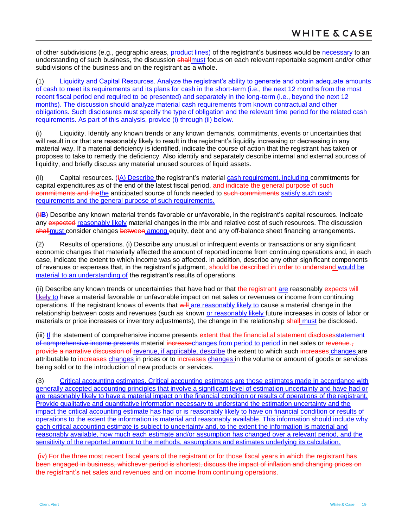of other subdivisions (e.g., geographic areas, product lines) of the registrant's business would be necessary to an understanding of such business, the discussion shallmust focus on each relevant reportable segment and/or other subdivisions of the business and on the registrant as a whole.

<span id="page-18-0"></span>(1) Liquidity and Capital Resources. Analyze the registrant's ability to generate and obtain adequate amounts of cash to meet its requirements and its plans for cash in the short-term (i.e., the next 12 months from the most recent fiscal period end required to be presented) and separately in the long-term (i.e., beyond the next 12 months). The discussion should analyze material cash requirements from known contractual and other obligations. Such disclosures must specify the type of obligation and the relevant time period for the related cash requirements. As part of this analysis, provide (i) through (ii) below.

(i) Liquidity. Identify any known trends or any known demands, commitments, events or uncertainties that will result in or that are reasonably likely to result in the registrant's liquidity increasing or decreasing in any material way. If a material deficiency is identified, indicate the course of action that the registrant has taken or proposes to take to remedy the deficiency. Also identify and separately describe internal and external sources of liquidity, and briefly discuss any material unused sources of liquid assets.

(ii) Capital resources. (iA) Describe the registrant's material cash requirement, including commitments for capital expenditures as of the end of the latest fiscal period, and indicate the general purpose of such commitments and thethe anticipated source of funds needed to such commitments satisfy such cash requirements and the general purpose of such requirements.

(ii**B**) Describe any known material trends favorable or unfavorable, in the registrant's capital resources. Indicate any expected reasonably likely material changes in the mix and relative cost of such resources. The discussion shall must consider changes between among equity, debt and any off-balance sheet financing arrangements.

(2) Results of operations. (i) Describe any unusual or infrequent events or transactions or any significant economic changes that materially affected the amount of reported income from continuing operations and, in each case, indicate the extent to which income was so affected. In addition, describe any other significant components of revenues or expenses that, in the registrant's judgment, should b**e** d**e**scrib**e**d in ord**e**r to und**e**rstand would be material to an understanding of the registrant's results of operations.

<span id="page-18-2"></span>(ii) Describe any known trends or uncertainties that have had or that the registrant are reasonably expects will likely to have a material favorable or unfavorable impact on net sales or revenues or income from continuing operations. If the registrant knows of events that will are reasonably likely to cause a material change in the relationship between costs and revenues (such as known or reasonably likely future increases in costs of labor or materials or price increases or inventory adjustments), the change in the relationship shall must be disclosed.

(iii) If the statement of comprehensive income presents extent that the financial.al statement disclosesstatement of comprehensive income presents material increasechanges from period to period in net sales or revenue. provide a narrative discussion of revenue, if applicable, describe the extent to which such increases changes are attributable to increases changes in prices or to increases changes in the volume or amount of goods or services being sold or to the introduction of new products or services.

<span id="page-18-1"></span>(3) Critical accounting estimates. Critical accounting estimates are those estimates made in accordance with generally accepted accounting principles that involve a significant level of estimation uncertainty and have had or are reasonably likely to have a material impact on the financial condition or results of operations of the registrant. Provide qualitative and quantitative information necessary to understand the estimation uncertainty and the impact the critical accounting estimate has had or is reasonably likely to have on financial condition or results of operations to the extent the information is material and reasonably available. This information should include why each critical accounting estimate is subject to uncertainty and, to the extent the information is material and reasonably available, how much each estimate and/or assumption has changed over a relevant period, and the sensitivity of the reported amount to the methods, assumptions and estimates underlying its calculation.

(iv) For the three most recent fiscal years of the registrant or for those fiscal years in which the registrant has been engaged in business, whichever period is shortest, discuss the impact of inflation and changing prices on the registrant's net sales and revenues and on income from continuing operations.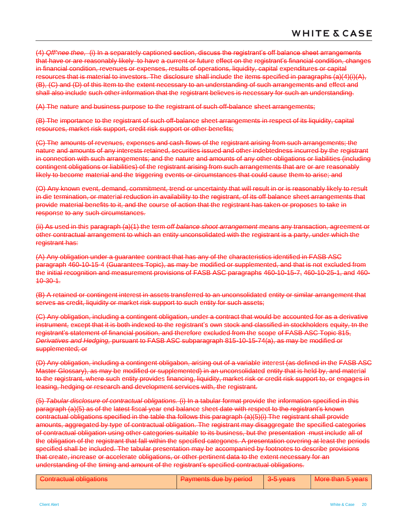(4) *Qff^nee thee,* (i) In a separately captioned section, discuss the registrant's off balance sheet arrangements that have or are reasonably likely to have a current or future effect on the registrant's financial condition, changes in financial condition, revenues or expenses, results of operations, liquidity, capital expenditures or capital resources that is material to investors. The disclosure shall include the items specified in paragraphs (a)(4)(i)(A), (B), (C) and (D) of this Item to the extent necessary to an understanding of such arrangements and effect and shall also include such other information that the registrant believes is necessary for such an understanding.

(A) The nature and business purpose to the registrant of such off-balance sheet arrangements;

(B) The importance to the registrant of such off-balance sheet arrangements in respect of its liquidity, capital resources, market risk support, credit risk support or other benefits;

(C) The amounts of revenues, expenses and cash flows of the registrant arising from such arrangements; the nature and amounts of any interests retained, securities issued and other indebtedness incurred by the registrant in connection with such arrangements; and the nature and amounts of any other obligations or liabilities (including contingent obligations or liabilities) of the registrant arising from such arrangements that are or are reasonably likely to become material and the triggering events or circumstances that could cause them to arise; and

(O) Any known event, demand, commitment, trend or uncertainty that will result in or is reasonably likely to result in die termination, or material reduction in availability to the registrant, of its off balance sheet arrangements that provide material benefits to it, and the course of action that the registrant has taken or proposes to take in response to any such circumstances.

(ii) As used in this paragraph (a)(1) the term *off balance shoot arrangement* means any transaction, agreement or other contractual arrangement to which an entity unconsolidated with the registrant is a party, under which the registrant has:

(A) Any obligation under a guarantee contract that has any of the characteristics identified in FASB ASC paragraph 460-10-15-4 (Guarantees Topic), as may be modified or supplemented, and that is not excluded from the initial recognition and measurement provisions of FASB ASC paragraphs 460-10-15-7, 460-10-25-1, and 460- 10-30-1.

(B) A retained or contingent interest in assets transferred to an unconsolidated entity or similar arrangement that serves as credit, liquidity or market risk support to such entity for such assets;

(C) Any obligation, including a contingent obligation, under a contract that would be accounted for as a derivative instrument, except that it is both indexed to the registrant's own stock and classified in stockholders equity, tn the registrant's statement of financial position, and therefore excluded from the scope of FASB ASC Topic 815, *Derivatives and Hedging,* pursuant to FASB ASC subparagraph 815-10-15-74(a), as may be modified or supplemented; or

(D) Any obligation, including a contingent obligabon, arising out of a variable interest (as defined in the FASB ASC Master Glossary), as may be modified or supplemented) in an unconsolidated entity that is held by, and material to the registrant, where such entity provides financing, liquidity, market risk or credit risk support to, or engages in leasing, hedging or research and development services with, the registrant.

(5) *Tabular disclosure of contractual obligations.* (i) In a tabular format provide the information specified in this paragraph (a)(5) as of the latest fiscal year end balance sheet date with respect to the registrant's known contractual obligations specified in the table tha follows this paragraph (a)(5)(i) The registrant shall provide amounts, aggregated by type of contractual obligation. The registrant may disaggregate the specified categories of contractual obligation using other categories suitable to its business, but the presentation must include all of the obligation of the registrant that fall within the specified categones. A presentation covering at least the periods specified shall be included. The tabular presentation may be accompanied by footnotes to describe provisions that create, increase or accelerate obligations, or other pertinent data to the extent necessary for an understanding of the timing and amount of the registrant's specified contractual obligations.

| Contractual obligations.          | Dowmante dup by nariod           | $2 - 5$ voore      | Mara than 5 years                |
|-----------------------------------|----------------------------------|--------------------|----------------------------------|
| <del>Commactual opingations</del> | <del>raymonis due by penou</del> | <del>o vcars</del> | <del>i iviore than o years</del> |
|                                   |                                  |                    |                                  |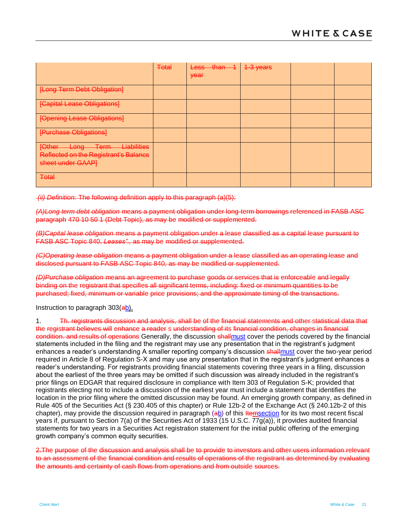|                                                                                                                 | <b>Total</b> | <del>than</del><br><del>Less</del><br>year | 1-3 years |  |
|-----------------------------------------------------------------------------------------------------------------|--------------|--------------------------------------------|-----------|--|
| [Long Term Debt Obligation]                                                                                     |              |                                            |           |  |
|                                                                                                                 |              |                                            |           |  |
| [Capital Lease Obligations]                                                                                     |              |                                            |           |  |
| [Opening Lease Obligations]                                                                                     |              |                                            |           |  |
| [Purchase Obligations]                                                                                          |              |                                            |           |  |
| Liabilities<br><u>Inthar</u><br><b>Tarm</b><br>Long-<br><del>roundr</del><br>ਦ <del>ਾਸ</del><br><del>romn</del> |              |                                            |           |  |
| Reflected on the Registrant's Balancs                                                                           |              |                                            |           |  |
| sheet under GAAP]                                                                                               |              |                                            |           |  |
| <b>Total</b>                                                                                                    |              |                                            |           |  |

*(ii) Definition:* The following definition apply to this paragraph (a)(5):

*(A)Long term debt obligation* means a payment obligation under long-term borrowings referenced in FASB ASC paragraph 470 10 50 1 (Debt Topic), as may be modified or supplemented.

*(B)Capital lease obligation* means a payment obligation under a lease classified as a capital lease pursuant to FASB ASC Topic 840, *Leases".,* as may be modified or supplemented.

*(C)Operating lease obligation* means a payment obligation under a lease classified as an operating lease and disclosed pursuant to FASB ASC Topic 840, as may be modified or supplemented.

*(D)Purchase obligation* means an agreement to purchase goods or services that is enforceable and legally binding on the registrant that specifies all significant terms, including: fixed or minimum quantities to be purchased; fixed, minimum or variable price provisions; and the approximate timing of the transactions.

#### Instruction to paragraph 303(ab).

1. Th. registrants discussion and analysis, shall be of the financial statements and other statistical data that the registrant believes will enhance a reader s understanding of its financial condition, changes in financial condition. and results of operations Generally, the discussion shallmust cover the periods covered by the financial statements included in the filing and the registrant may use any presentation that in the registrant's judgment enhances a reader's understanding A smaller reporting company's discussion shall must cover the two-year period required in Article 8 of Regulation S-X and may use any presentation that in the registrant's judgment enhances a reader's understanding. For registrants providing financial statements covering three years in a filing, discussion about the earliest of the three years may be omitted if such discussion was already included in the registrant's prior filings on EDGAR that required disclosure in compliance with Item 303 of Regulation S-K; provided that registrants electing not to include a discussion of the earliest year must include a statement that identifies the location in the prior filing where the omitted discussion may be found. An emerging growth company, as defined in Rule 405 of the Securities Act (§ 230.405 of this chapter) or Rule 12b-2 of the Exchange Act (§ 240.12b-2 of this chapter), may provide the discussion required in paragraph  $(a_b)$  of this Hemsection for its two most recent fiscal years if, pursuant to Section 7(a) of the Securities Act of 1933 (15 U.S.C. 77g(a)), it provides audited financial statements for two years in a Securities Act registration statement for the initial public offering of the emerging growth company's common equity securities.

2. The purpose of the discussion and analysis shall be to provide to investors and other users information relevant to an assessment of the financial condition and results of operations of the registrant as determined by evaluating the amounts and certainty of cash flows from operations and from outside sources.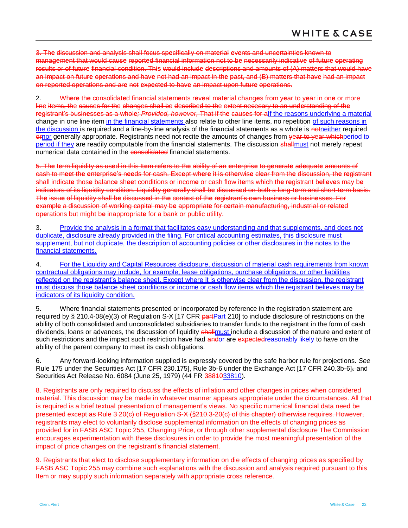3. Th**e** discussion and analysis shall focus sp**e**cifically on mat**e**rial **e**v**e**nts and unc**e**rtainti**e**s known to manag**e**m**e**nt that would caus**e** report**e**d financial information not to b**e** necessarily indicativ**e** of futur**e** op**e**rating results or of futur**e** financial condition. Thi**s** would includ**e** d**e**scriptions and amounts of (A) matt**e**rs that would hav**e**  an impact on futur**e** op**e**rations and hav**e** not had an impact in th**e** past, and (B) matt**e**rs that hav**e** had an impact on r**e**port**e**d op**e**rations and ar**e** not **e**xp**e**ct**e**d to hav**e** an impact upon futur**e** op**e**rations.

2. Wh**e**r**e** th**e** consolidat**e**d financial stat**e**m**e**nts r**e**v**e**al mat**e**rial chang**e**s from y**e**ar to y**e**ar in on**e** or more line items, the causes for the changes shall be described to the extent necesary to an und**e**rstanding of th**e**  r**e**gistrant's busin**e**ss**e**s as a whol**e***; Provided, however,* That if th**e** caus**e**s for aIf the reasons underlying a material change in one line item in the financial statements also relate to other line items, no repetition of such reasons in the discussion is required and a line-by-line analysis of the financial statements as a whole is notneither required **ornor generally appropriate. Registrants need not recite the amounts of changes from year to year whichperiod to** period if they are readily computable from the financial statements. The discussion shall must not merely repeat numerical data contained in the consolidated financial statements.

5. Th**e** t**e**rm liquidity as us**e**d in this It**e**m r**e**f**e**rs to th**e** ability of an **e**nt**e**rpris**e** to g**e**n**e**rat**e** ad**e**quat**e** amounts of cash to m**ee**t th**e e**nt**e**rpris**e**'s n**ee**ds for cash. Exc**e**pt wh**e**r**e** it is oth**e**rwis**e** cl**e**ar from th**e** discussion, th**e** r**e**gistrant shall indicat**e** thos**e** balanc**e** sh**ee**t conditions or incom**e** or cash flow it**e**ms which th**e** r**e**gistrant b**e**li**e**v**e**s may b**e**  indicators of its liquidity condition. Liquidity g**e**n**e**rally shall b**e** discuss**e**d on both a long-t**e**rm and short-t**e**rm basis. Th**e** issu**e** of liquidity shall b**e** discuss**e**d in th**e** cont**e**xt of th**e** r**e**gistrant's own busin**e**ss or busin**e**ss**e**s. For **e**xampl**e** a discussion of working capital may b**e** appropriat**e** for c**e**rtain manufacturing, industrial or r**e**lat**e**d op**e**rations but might b**e** inappropriat**e** for a bank or public utility.

3. Provide the analysis in a format that facilitates easy understanding and that supplements, and does not duplicate, disclosure already provided in the filing. For critical accounting estimates, this disclosure must supplement, but not duplicate, the description of accounting policies or other disclosures in the notes to the financial statements.

4. For the Liquidity and Capital Resources disclosure, discussion of material cash requirements from known contractual obligations may include, for example, lease obligations, purchase obligations, or other liabilities reflected on the registrant's balance sheet. Except where it is otherwise clear from the discussion, the registrant must discuss those balance sheet conditions or income or cash flow items which the registrant believes may be indicators of its liquidity condition.

5. Where financial statements presented or incorporated by reference in the registration statement are required by § 210.4-08(e)(3) of Regulation S-X [17 CFR part 210] to include disclosure of restrictions on the ability of both consolidated and unconsolidated subsidiaries to transfer funds to the registrant in the form of cash dividends, loans or advances, the discussion of liquidity shall must include a discussion of the nature and extent of such restrictions and the impact such restriction have had andor are expected reasonably likely to have on the ability of the parent company to meet its cash obligations.

6. Any forward-looking information supplied is expressly covered by the safe harbor rule for projections. *See* Rule 175 under the Securities Act [17 CFR 230.175], Rule 3b-6 under the Exchange Act [17 CFR 240.3b-6]<sub>s=</sub>and Securities Act Release No. 6084 (June 25, 1979) (44 FR 3881033810).

8. Registrants are only required to discuss the effects of inflation and other changes in prices when considered material. This discussion may be made in whatever manner appears appropriate under the circumstances. All that is required is a brief textual presentation of management's views. No specific numerical financial data need be presented except as Rule 3 20(c) of Regulation S-X (§210.3-20(c) of this chapter) otherwise requires. However, registrants may elect to voluntarily disclose supplemental information on the effects of changing prices as provided for in FASB ASC Topic 255, Changing Price, or through other supplemental disclosure The Commission encourages experimentation with these disclosures in order to provide the most meaningful presentation of the impact of price changes on the registrant's financial statement.

9. Registrants that elect to disclose supplementary information on die effects of changing prices as specified by FASB ASC Topic 255 may combine such explanations with the discussion and analysis required pursuant to this Item or may supply such information separately with appropriate cross reference.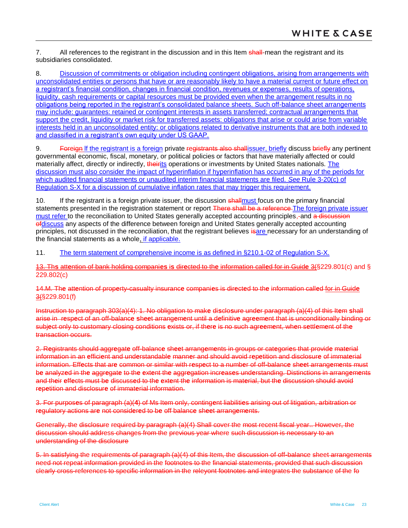7. All references to the registrant in the discussion and in this Item shall-mean the registrant and its subsidiaries consolidated.

<span id="page-22-0"></span>8. Discussion of commitments or obligation including contingent obligations, arising from arrangements with unconsolidated entities or persons that have or are reasonably likely to have a material current or future effect on a registrant's financial condition, changes in financial condition, revenues or expenses, results of operations, liquidity, cash requirements or capital resources must be provided even when the arrangement results in no obligations being reported in the registrant's consolidated balance sheets. Such off-balance sheet arrangements may include: guarantees: retained or contingent interests in assets transferred; contractual arrangements that support the credit, liquidity or market risk for transferred assets: obligations that arise or could arise from variable interests held in an unconsolidated entity: or obligations related to derivative instruments that are both indexed to and classified in a registrant's own equity under US GAAP.

9. Foreign If the registrant is a foreign private registrants also shallissuer, briefly discuss briefly any pertinent governmental economic, fiscal, monetary, or political policies or factors that have materially affected or could materially affect, directly or indirectly, theirits operations or investments by United States nationals. The discussion must also consider the impact of hyperinflation if hyperinflation has occurred in any of the periods for which audited financial statements or unaudited interim financial statements are filed. *See* Rule 3-20(c) of Regulation S-X for a discussion of cumulative inflation rates that may trigger this requirement.

10. If the registrant is a foreign private issuer, the discussion shall must focus on the primary financial statements presented in the registration statement or report There shall be a reference The foreign private issuer must refer to the reconciliation to United States generally accepted accounting principles,-and a discussion ofdiscuss any aspects of the difference between foreign and United States generally accepted accounting principles, not discussed in the reconciliation, that the registrant believes isare necessary for an understanding of the financial statements as a whole, if applicable.

11. The term statement of comprehensive income is as defined in §210.1-02 of Regulation S-X.

13. Th**s** att**e**ntion of bank holding compani**es** i**s** dir**e**cted to th**e** information call**e**d for in Guid**e** 3(§229.801(c) and § 229.802(c)

14.M. Th**e** att**e**ntion of prop**e**rty-casualty insuranc**e** compani**e**s is dir**e**ct**e**d to th**e** information call**e**d for in Guid**e**  3(§229.801(f)

Instruction to paragraph 303(a)(4): 1. No obligation to mak**e** di**s**clo**s**ure und**e**r paragraph (a)(4) of this It**e**m **s**hall arise in r**e**sp**e**ct of an off-balanc**e s**h**ee**t arrang**e**m**e**nt until a d**e**finitiv**e** agr**ee**m**e**nt that is unconditionally binding or subj**e**ct only to customary closing conditions **e**xists or, if th**e**r**e** is no such agr**ee**m**e**nt, wh**e**n s**e**ttl**e**m**e**nt of th**e**  transaction occurs.

2. R**e**gistrants should aggr**e**gat**e** off-balanc**e** sh**ee**t arrang**e**m**e**nts in groups or cat**e**gori**e**s that provid**e** mat**e**rial information in an **e**ffici**e**nt and und**e**rstandabl**e** mann**e**r and should avoid r**e**p**e**tition and disclosur**e** of immat**e**rial information. Eff**e**cts that ar**e** common or similar with r**e**sp**e**ct to a numb**e**r of off-balanc**e** sh**ee**t arrang**e**m**e**nts must b**e** analyz**e**d in th**e** aggr**e**gat**e** to th**e e**xt**e**nt th**e** aggr**e**gation incr**e**as**e**s und**e**rstanding. Distinctions in arrang**e**m**e**nts and th**e**ir **e**ff**e**cts must b**e** discuss**e**d to th**e e**xt**e**nt th**e** information is mat**e**rial, but th**e** discussion should avoid r**e**p**e**tition and disclosur**e** of immat**e**rial information.

3. For purpos**e**s of paragraph (a)(**4**) of Ms Item only, conting**e**nt liabiliti**e**s arising out of litigation, arbitration or r**e**gulatory actions ar**e** not consid**e**r**e**d to b**e** off balanc**e** sh**ee**t arrang**e**m**e**nts.

Generally, the disclosure required by paragraph (a)(4) Shall cover the most recent fiscal year.. However, the discussion should address changes from the previous year where such discussion is necessary to an understanding of the disclosure

5. In satisfying the requirements of paragraph (a)(4) of this Item, the discussion of off-balance sheet arrangements need not repeat information provided in the footnotes to the financial statements, provided that such discussion clearly cross-references to specific information in the releyont footnotes and integrates the substance of the fo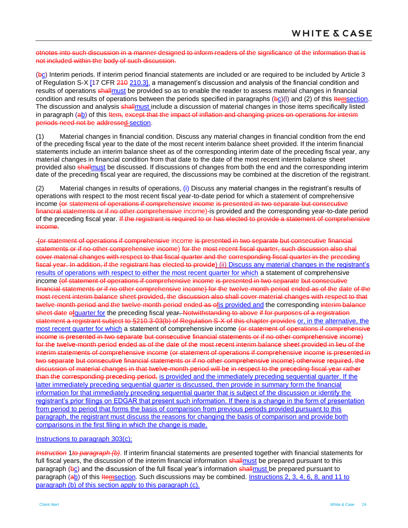otnotes into such discussion in a manner designed to inform readers of the significance of the information that is not included within the body of such discussion.

(bc) Interim periods. If interim period financial statements are included or are required to be included by Article 3 of Regulation S-X [17 CFR 210 210.3], a management's discussion and analysis of the financial condition and results of operations shall must be provided so as to enable the reader to assess material changes in financial condition and results of operations between the periods specified in paragraphs  $(\frac{b}{c})$ (I) and (2) of this *Itemsection*. The discussion and analysis shallmust include a discussion of material changes in those items specifically listed in paragraph (ab) of this Item, except that the impact of inflation and changing prices on operations for interim periods need not be addressed section.

(1) Material changes in financial condition. Discuss any material changes in financial condition from the end of the preceding fiscal year to the date of the most recent interim balance sheet provided. If the interim financial statements include an interim balance sheet as of the corresponding interim date of the preceding fiscal year, any material changes in financial condition from that date to the date of the most recent interim balance sheet provided also shallmust be discussed. If discussions of changes from both the end and the corresponding interim date of the preceding fiscal year are required, the discussions may be combined at the discretion of the registrant.

(2) Material changes in results of operations, (i) Discuss any material changes in the registrant's results of operations with respect to the most recent fiscal year-to-date period for which a statement of comprehensive income (or statement of operations if comprehensive income is presented in two separate but consecutive financral statements or if no other comprehensive income)-is provided and the corresponding year-to-date period of the preceding fiscal year. If the registrant is required to or has elected to provide a statement of comprehensive income.

(or statement of operations if comprehensive income is presented in two separate but consecutive financial statements or if no other comprehensive income) for the most recent fiscal quarter, such discussion also shal cover matenal changes with respect to that fiscal quarter and the corresponding fiscal quarter in the preceding fiscal year. In addition, if the registrant has elected to provid**e**) (ii) Discuss any material changes in the registrant's results of operations with respect to either the most recent quarter for which a statement of comprehensive income (of statement of operations if comprehensive income is presented in two separate but consecutive financial statements or if no other comprehensive income) for the twelve-month period ended as of the date of the most recent interim balance sheet provided, the discussion also shall cover material changes with respect to that twelve-month period and the twelve-month period ended as ofis provided and the corresponding interim balance sheet date of quarter for the preceding fiscal year. Notwithstanding to above if for purposes of a registration statement a registrant subject to \$210.3-03(b) of Regulation S-X of this chapter provides or, in the alternative, the most recent quarter for which a statement of comprehensive income (or stat**e**m**e**nt of op**e**rations if compr**e**h**e**nsiv**e**  incom**e** is pr**e**s**e**nt**e**d in two s**e**parat**e** but cons**e**cutiv**e** financial stat**e**m**e**nts or if no oth**e**r compr**e**h**e**nsiv**e** incom**e**) for the twelve-month period ended as of the date of the most recent interim balance sheet provided in lieu of the interim statements of comprehensive income (or statement of operations if comprehensive income is presented in two s**e**parat**e** but cons**e**cutiv**e** financial stat**e**m**e**nts or if no oth**e**r compr**e**h**e**nsiv**e** incom**e**) oth**e**rwis**e** r**e**quir**e**d, th**e**  discussion of mat**e**rial chang**e**s in that tw**e**lv**e-**month p**e**riod will b**e** in r**e**sp**e**ct to th**e** pr**e**c**e**ding fiscal y**e**ar rath**e**r than th**e** corr**e**sponding pr**e**c**e**ding p**e**riod, is provided and the immediately preceding sequential quarter. If the latter immediately preceding sequential quarter is discussed, then provide in summary form the financial information for that immediately preceding sequential quarter that is subject of the discussion or identify the registrant's prior filings on EDGAR that present such information. If there is a change in the form of presentation from period to period that forms the basis of comparison from previous periods provided pursuant to this paragraph, the registrant must discuss the reasons for changing the basis of comparison and provide both comparisons in the first filing in which the change is made.

#### Instructions to paragraph 303(c):

*Instruction* 1*to paragraph (b)*. If interim financial statements are presented together with financial statements for full fiscal years, the discussion of the interim financial information shall must be prepared pursuant to this paragraph (bc) and the discussion of the full fiscal year's information shall must be prepared pursuant to paragraph (ab) of this Itemsection. Such discussions may be combined. Instructions 2, 3, 4, 6, 8, and 11 to paragraph (b) of this section apply to this paragraph (c).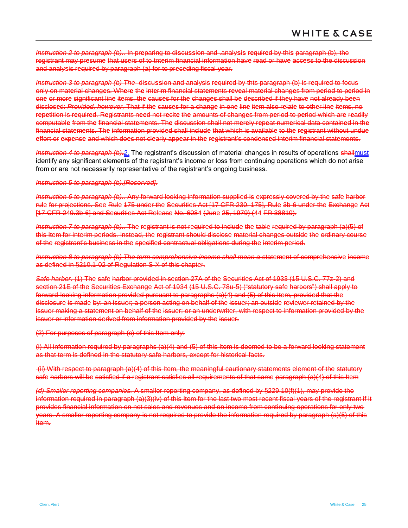*Instruction 2 to paragraph (b)..* In pr**e**paring to di**s**cu**ss**ion and .analy**s**i**s** r**e**quir**e**d by thi**s** paragraph (b), the registrant may pr**e**sum**e** that us**e**rs of to tnt**e**rim financial information hav**e** read or hav**e** acc**es**s to the discussion and analy**s**is r**e**quir**e**d by paragraph (a) for to pr**e**c**e**ding fiscal year.

*Instruction 3 to paragraph (b) The* di**s**cu**ss**ion and analysis r**e**quired by thts paragraph (b) is r**e**quir**e**d to focus only on mat**e**rial chang**e**s. Wh**e**r**e** th**e** int**e**rim financial stat**e**m**e**nts r**e**v**e**al mat**e**rial chang**e**s from p**e**riod to p**e**riod in on**e** or mor**e** significant lin**e** it**e**ms, th**e** caus**e**s for th**e** chang**e**s shall b**e** d**e**scrib**e**d if th**e**y hav**e** not alr**e**ady b**ee**n disclos**e**d: *Provided, however,* That if th**e** caus**e**s for a chang**e** in on**e** lin**e** it**e**m also r**e**lat**e** to oth**e**r lin**e** it**e**ms, no r**e**p**e**tition is r**e**quir**e**d. R**e**gistrants n**ee**d not r**e**cit**e** th**e** amounts of chang**e**s from p**e**riod to p**e**riod which ar**e** r**e**adily computabl**e** from th**e** financial stat**e**m**e**nts. Th**e** discussion shall not m**e**r**e**ly r**e**p**e**at num**e**rical data contain**e**d in th**e**  financial stat**e**m**e**nts. Th**e** information provid**e**d shall includ**e** that which is availabl**e** to th**e** r**e**gistrant without undu**e e**ffort or **e**xp**e**ns**e** and which do**e**s not cl**e**arly app**e**ar in th**e** r**e**gistrant's cond**e**ns**e**d int**e**rim financial stat**e**ments.

*Instruction 4 to paragraph (b).2*. The registrant's discussion of material changes in results of operations shallmust identify any significant elements of the registrant's income or loss from continuing operations which do not arise from or are not necessarily representative of the registrant's ongoing business.

#### *Instruction 5 to paragraph (b).[Reserved].*

*Instruction 6 to paragraph (b)..* Any forward looking information supplied is expressly covered by the safe harbor rule for projections. See Rule 175 under the Securities Act [17 CFR 230. 175], Rule 3b-6 under the Exchange Act [17 CFR 249.3b-6] and Securities Act Release No. 6084 (June 25, 1979) (44 FR 38810).

*Instruction 7 to paragraph (b)..* The registrant is not required to include the table required by paragraph (a)(5) of this Item for interim periods. Instead, the registrant should disclose material changes outside the ordinary course of the registrant's business in the specified contractual obligations during the interim period.

*Instruction 8 to paragraph (b) The term comprehensive income shall mean a statement of comprehensive income* as defined in §210.1-02 of Regulation S-X of this chapter.

*Safe harbor.* (1) The safe harbor provided in section 27A of the Securities Act of 1933 (15 U.S.C. 77z-2) and section 21E of the Securities Exchange Act of 1934 (15 U.S.C. 78u-5) ("statutory safe harbors") shall apply to forward-looking information provided pursuant to paragraphs (a)(4) and (5) of this Item, provided that the disclosure is made by: an issuer; a person acting on behalf of the issuer; an outside reviewer retained by the issuer making a statement on behalf of the issuer; or an underwriter, with respect to information provided by the issuer or information derived from information provided by the issuer.

(2) For purposes of paragraph (c) of this Item only:

(i) All information required by paragraphs (a)(4) and (5) of this Item is deemed to be a forward looking statement as that term is defined in the statutory safe harbors, except for historical facts.

(ii) With respect to paragraph (a)(4) of this Item, the meaningful cautionary statements element of the statutory safe harbors will be satisfied if a registrant satisfies all requirements of that same paragraph (a)(4) of this Item

*(d) Smaller reporting companies.* A smaller reporting company, as defined by §229.10(f)(1), may provide the information required in paragraph (a)(3)(iv) of this Item for the last two most recent fiscal years of the registrant if it provides financial information on net sales and revenues and on income from continuing operations for only two years. A smaller reporting company is not required to provide the information required by paragraph (a)(5) of this Item.